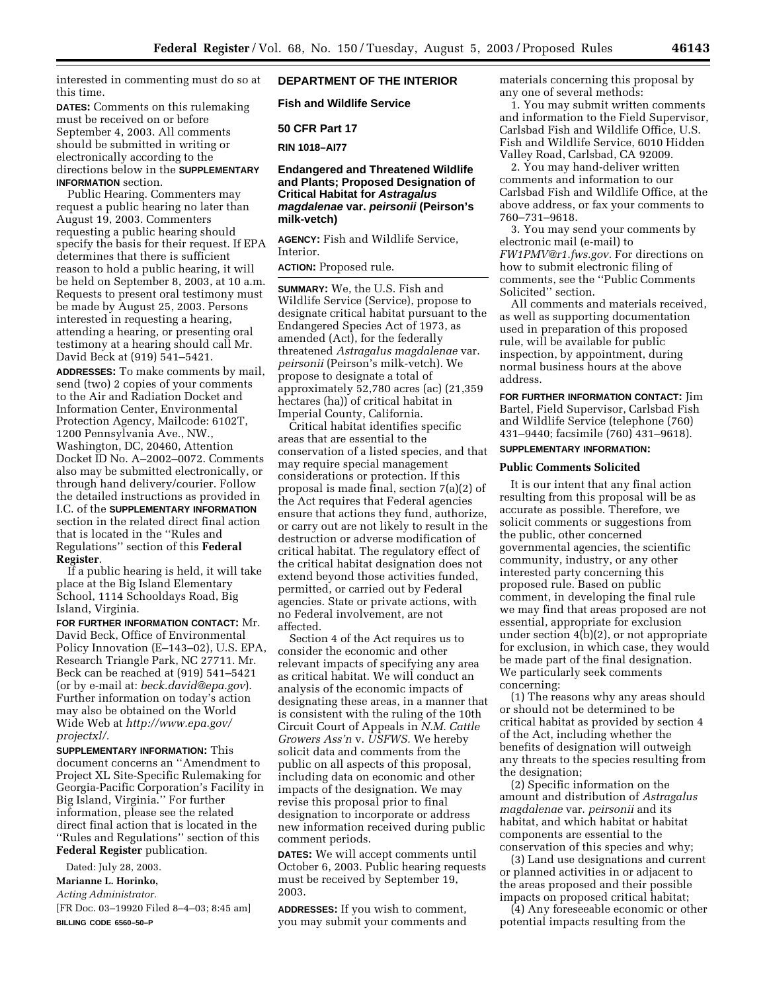interested in commenting must do so at this time.

**DATES:** Comments on this rulemaking must be received on or before September 4, 2003. All comments should be submitted in writing or electronically according to the directions below in the **SUPPLEMENTARY INFORMATION** section.

Public Hearing. Commenters may request a public hearing no later than August 19, 2003. Commenters requesting a public hearing should specify the basis for their request. If EPA determines that there is sufficient reason to hold a public hearing, it will be held on September 8, 2003, at 10 a.m. Requests to present oral testimony must be made by August 25, 2003. Persons interested in requesting a hearing, attending a hearing, or presenting oral testimony at a hearing should call Mr. David Beck at (919) 541–5421.

**ADDRESSES:** To make comments by mail, send (two) 2 copies of your comments to the Air and Radiation Docket and Information Center, Environmental Protection Agency, Mailcode: 6102T, 1200 Pennsylvania Ave., NW., Washington, DC, 20460, Attention Docket ID No. A–2002–0072. Comments also may be submitted electronically, or through hand delivery/courier. Follow the detailed instructions as provided in I.C. of the **SUPPLEMENTARY INFORMATION** section in the related direct final action that is located in the ''Rules and Regulations'' section of this **Federal Register**.

If a public hearing is held, it will take place at the Big Island Elementary School, 1114 Schooldays Road, Big Island, Virginia.

**FOR FURTHER INFORMATION CONTACT:** Mr. David Beck, Office of Environmental Policy Innovation (E–143–02), U.S. EPA, Research Triangle Park, NC 27711. Mr. Beck can be reached at (919) 541–5421 (or by e-mail at: *[beck.david@epa.gov](mailto:beck.david@epa.gov)*). Further information on today's action may also be obtained on the World Wide Web at *[http://www.epa.gov/](http://www.epa.gov/projectxl/) projectxl/.*

**SUPPLEMENTARY INFORMATION:** This document concerns an ''Amendment to Project XL Site-Specific Rulemaking for Georgia-Pacific Corporation's Facility in Big Island, Virginia.'' For further information, please see the related direct final action that is located in the ''Rules and Regulations'' section of this **Federal Register** publication.

Dated: July 28, 2003.

**Marianne L. Horinko,** 

*Acting Administrator.*

[FR Doc. 03–19920 Filed 8–4–03; 8:45 am] **BILLING CODE 6560–50–P**

## **DEPARTMENT OF THE INTERIOR**

**Fish and Wildlife Service** 

**50 CFR Part 17** 

**RIN 1018–AI77** 

## **Endangered and Threatened Wildlife and Plants; Proposed Designation of Critical Habitat for Astragalus magdalenae var. peirsonii (Peirson's milk-vetch)**

**AGENCY:** Fish and Wildlife Service, Interior.

# **ACTION:** Proposed rule.

**SUMMARY:** We, the U.S. Fish and Wildlife Service (Service), propose to designate critical habitat pursuant to the Endangered Species Act of 1973, as amended (Act), for the federally threatened *Astragalus magdalenae* var. *peirsonii* (Peirson's milk-vetch). We propose to designate a total of approximately 52,780 acres (ac) (21,359 hectares (ha)) of critical habitat in Imperial County, California.

Critical habitat identifies specific areas that are essential to the conservation of a listed species, and that may require special management considerations or protection. If this proposal is made final, section 7(a)(2) of the Act requires that Federal agencies ensure that actions they fund, authorize, or carry out are not likely to result in the destruction or adverse modification of critical habitat. The regulatory effect of the critical habitat designation does not extend beyond those activities funded, permitted, or carried out by Federal agencies. State or private actions, with no Federal involvement, are not affected.

Section 4 of the Act requires us to consider the economic and other relevant impacts of specifying any area as critical habitat. We will conduct an analysis of the economic impacts of designating these areas, in a manner that is consistent with the ruling of the 10th Circuit Court of Appeals in *N.M. Cattle Growers Ass'n* v. *USFWS.* We hereby solicit data and comments from the public on all aspects of this proposal, including data on economic and other impacts of the designation. We may revise this proposal prior to final designation to incorporate or address new information received during public comment periods.

**DATES:** We will accept comments until October 6, 2003. Public hearing requests must be received by September 19, 2003.

**ADDRESSES:** If you wish to comment, you may submit your comments and materials concerning this proposal by any one of several methods:

1. You may submit written comments and information to the Field Supervisor, Carlsbad Fish and Wildlife Office, U.S. Fish and Wildlife Service, 6010 Hidden Valley Road, Carlsbad, CA 92009.

2. You may hand-deliver written comments and information to our Carlsbad Fish and Wildlife Office, at the above address, or fax your comments to 760–731–9618.

3. You may send your comments by electronic mail (e-mail) to *[FW1PMV@r1.fws.gov.](mailto:FW1PMV@r1.fws.gov)* For directions on how to submit electronic filing of comments, see the ''Public Comments Solicited'' section.

All comments and materials received, as well as supporting documentation used in preparation of this proposed rule, will be available for public inspection, by appointment, during normal business hours at the above address.

**FOR FURTHER INFORMATION CONTACT:** Jim Bartel, Field Supervisor, Carlsbad Fish and Wildlife Service (telephone (760) 431–9440; facsimile (760) 431–9618).

# **SUPPLEMENTARY INFORMATION:**

## **Public Comments Solicited**

It is our intent that any final action resulting from this proposal will be as accurate as possible. Therefore, we solicit comments or suggestions from the public, other concerned governmental agencies, the scientific community, industry, or any other interested party concerning this proposed rule. Based on public comment, in developing the final rule we may find that areas proposed are not essential, appropriate for exclusion under section 4(b)(2), or not appropriate for exclusion, in which case, they would be made part of the final designation. We particularly seek comments concerning:

(1) The reasons why any areas should or should not be determined to be critical habitat as provided by section 4 of the Act, including whether the benefits of designation will outweigh any threats to the species resulting from the designation;

(2) Specific information on the amount and distribution of *Astragalus magdalenae* var. *peirsonii* and its habitat, and which habitat or habitat components are essential to the conservation of this species and why;

(3) Land use designations and current or planned activities in or adjacent to the areas proposed and their possible impacts on proposed critical habitat;

(4) Any foreseeable economic or other potential impacts resulting from the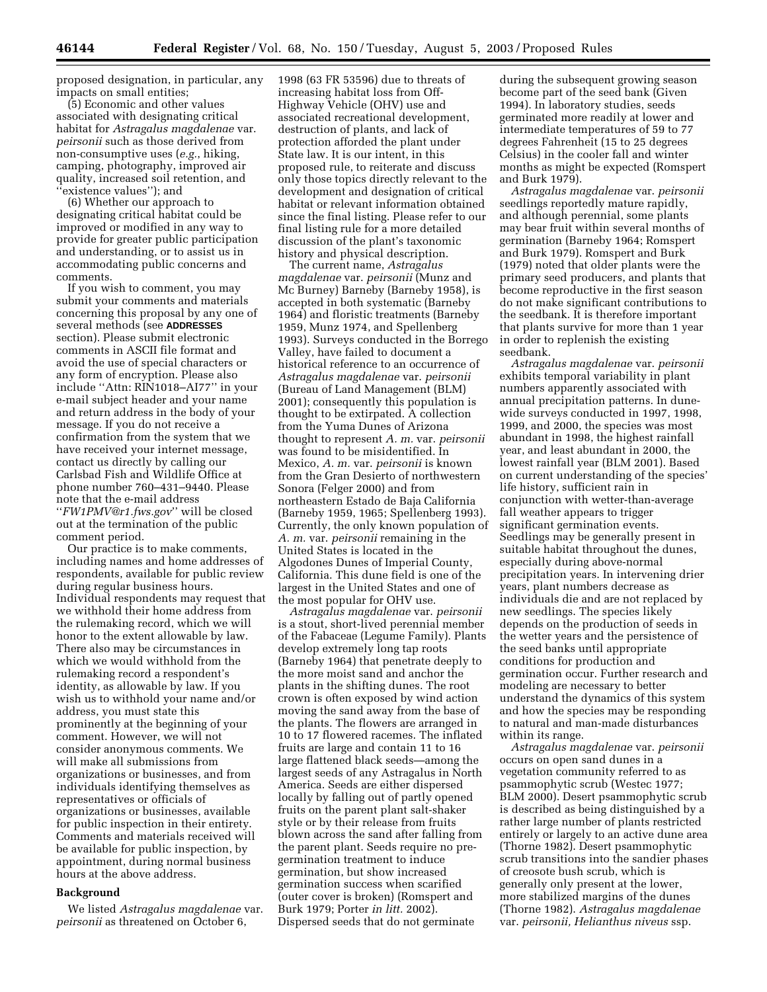proposed designation, in particular, any impacts on small entities;

(5) Economic and other values associated with designating critical habitat for *Astragalus magdalenae* var. *peirsonii* such as those derived from non-consumptive uses (*e.g.*, hiking, camping, photography, improved air quality, increased soil retention, and 'existence values''); and

(6) Whether our approach to designating critical habitat could be improved or modified in any way to provide for greater public participation and understanding, or to assist us in accommodating public concerns and comments.

If you wish to comment, you may submit your comments and materials concerning this proposal by any one of several methods (see **ADDRESSES** section). Please submit electronic comments in ASCII file format and avoid the use of special characters or any form of encryption. Please also include ''Attn: RIN1018–AI77'' in your e-mail subject header and your name and return address in the body of your message. If you do not receive a confirmation from the system that we have received your internet message, contact us directly by calling our Carlsbad Fish and Wildlife Office at phone number 760–431–9440. Please note that the e-mail address ''*[FW1PMV@r1.fws.gov](mailto:FW1PMV@r1.fws.gov)*'' will be closed out at the termination of the public comment period.

Our practice is to make comments, including names and home addresses of respondents, available for public review during regular business hours. Individual respondents may request that we withhold their home address from the rulemaking record, which we will honor to the extent allowable by law. There also may be circumstances in which we would withhold from the rulemaking record a respondent's identity, as allowable by law. If you wish us to withhold your name and/or address, you must state this prominently at the beginning of your comment. However, we will not consider anonymous comments. We will make all submissions from organizations or businesses, and from individuals identifying themselves as representatives or officials of organizations or businesses, available for public inspection in their entirety. Comments and materials received will be available for public inspection, by appointment, during normal business hours at the above address.

#### **Background**

We listed *Astragalus magdalenae* var. *peirsonii* as threatened on October 6,

1998 (63 FR 53596) due to threats of increasing habitat loss from Off-Highway Vehicle (OHV) use and associated recreational development, destruction of plants, and lack of protection afforded the plant under State law. It is our intent, in this proposed rule, to reiterate and discuss only those topics directly relevant to the development and designation of critical habitat or relevant information obtained since the final listing. Please refer to our final listing rule for a more detailed discussion of the plant's taxonomic history and physical description.

The current name, *Astragalus magdalenae* var. *peirsonii* (Munz and Mc Burney) Barneby (Barneby 1958), is accepted in both systematic (Barneby 1964) and floristic treatments (Barneby 1959, Munz 1974, and Spellenberg 1993). Surveys conducted in the Borrego Valley, have failed to document a historical reference to an occurrence of *Astragalus magdalenae* var. *peirsonii* (Bureau of Land Management (BLM) 2001); consequently this population is thought to be extirpated. A collection from the Yuma Dunes of Arizona thought to represent *A. m.* var. *peirsonii* was found to be misidentified. In Mexico, *A. m.* var. *peirsonii* is known from the Gran Desierto of northwestern Sonora (Felger 2000) and from northeastern Estado de Baja California (Barneby 1959, 1965; Spellenberg 1993). Currently, the only known population of *A. m.* var. *peirsonii* remaining in the United States is located in the Algodones Dunes of Imperial County, California. This dune field is one of the largest in the United States and one of the most popular for OHV use.

*Astragalus magdalenae* var. *peirsonii* is a stout, short-lived perennial member of the Fabaceae (Legume Family). Plants develop extremely long tap roots (Barneby 1964) that penetrate deeply to the more moist sand and anchor the plants in the shifting dunes. The root crown is often exposed by wind action moving the sand away from the base of the plants. The flowers are arranged in 10 to 17 flowered racemes. The inflated fruits are large and contain 11 to 16 large flattened black seeds—among the largest seeds of any Astragalus in North America. Seeds are either dispersed locally by falling out of partly opened fruits on the parent plant salt-shaker style or by their release from fruits blown across the sand after falling from the parent plant. Seeds require no pregermination treatment to induce germination, but show increased germination success when scarified (outer cover is broken) (Romspert and Burk 1979; Porter *in litt.* 2002). Dispersed seeds that do not germinate

during the subsequent growing season become part of the seed bank (Given 1994). In laboratory studies, seeds germinated more readily at lower and intermediate temperatures of 59 to 77 degrees Fahrenheit (15 to 25 degrees Celsius) in the cooler fall and winter months as might be expected (Romspert and Burk 1979).

*Astragalus magdalenae* var. *peirsonii* seedlings reportedly mature rapidly, and although perennial, some plants may bear fruit within several months of germination (Barneby 1964; Romspert and Burk 1979). Romspert and Burk (1979) noted that older plants were the primary seed producers, and plants that become reproductive in the first season do not make significant contributions to the seedbank. It is therefore important that plants survive for more than 1 year in order to replenish the existing seedbank.

*Astragalus magdalenae* var. *peirsonii* exhibits temporal variability in plant numbers apparently associated with annual precipitation patterns. In dunewide surveys conducted in 1997, 1998, 1999, and 2000, the species was most abundant in 1998, the highest rainfall year, and least abundant in 2000, the lowest rainfall year (BLM 2001). Based on current understanding of the species' life history, sufficient rain in conjunction with wetter-than-average fall weather appears to trigger significant germination events. Seedlings may be generally present in suitable habitat throughout the dunes, especially during above-normal precipitation years. In intervening drier years, plant numbers decrease as individuals die and are not replaced by new seedlings. The species likely depends on the production of seeds in the wetter years and the persistence of the seed banks until appropriate conditions for production and germination occur. Further research and modeling are necessary to better understand the dynamics of this system and how the species may be responding to natural and man-made disturbances within its range.

*Astragalus magdalenae* var. *peirsonii* occurs on open sand dunes in a vegetation community referred to as psammophytic scrub (Westec 1977; BLM 2000). Desert psammophytic scrub is described as being distinguished by a rather large number of plants restricted entirely or largely to an active dune area (Thorne 1982). Desert psammophytic scrub transitions into the sandier phases of creosote bush scrub, which is generally only present at the lower, more stabilized margins of the dunes (Thorne 1982). *Astragalus magdalenae* var. *peirsonii, Helianthus niveus* ssp.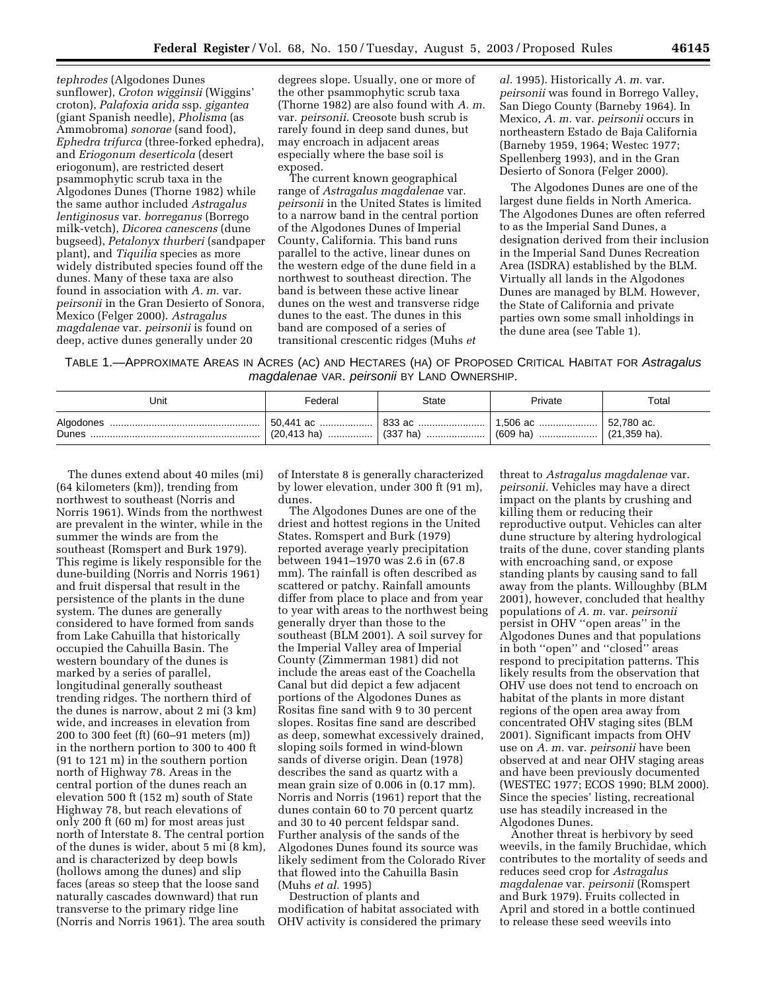*tephrodes* (Algodones Dunes sunflower), *Croton wigginsii* (Wiggins' croton), *Palafoxia arida* ssp. *gigantea* (giant Spanish needle), *Pholisma* (as Ammobroma) *sonorae* (sand food), *Ephedra trifurca* (three-forked ephedra), and *Eriogonum deserticola* (desert eriogonum), are restricted desert psammophytic scrub taxa in the Algodones Dunes (Thorne 1982) while the same author included *Astragalus lentiginosus* var. *borreganus* (Borrego milk-vetch), *Dicorea canescens* (dune bugseed), *Petalonyx thurberi* (sandpaper plant), and *Tiquilia* species as more widely distributed species found off the dunes. Many of these taxa are also found in association with *A. m.* var. *peirsonii* in the Gran Desierto of Sonora, Mexico (Felger 2000). *Astragalus magdalenae* var. *peirsonii* is found on deep, active dunes generally under 20

degrees slope. Usually, one or more of the other psammophytic scrub taxa (Thorne 1982) are also found with *A. m.* var. *peirsonii.* Creosote bush scrub is rarely found in deep sand dunes, but may encroach in adjacent areas especially where the base soil is exposed.

The current known geographical range of *Astragalus magdalenae* var. *peirsonii* in the United States is limited to a narrow band in the central portion of the Algodones Dunes of Imperial County, California. This band runs parallel to the active, linear dunes on the western edge of the dune field in a northwest to southeast direction. The band is between these active linear dunes on the west and transverse ridge dunes to the east. The dunes in this band are composed of a series of transitional crescentic ridges (Muhs *et* 

*al.* 1995). Historically *A. m.* var. *peirsonii* was found in Borrego Valley, San Diego County (Barneby 1964). In Mexico, *A. m.* var. *peirsonii* occurs in northeastern Estado de Baja California (Barneby 1959, 1964; Westec 1977; Spellenberg 1993), and in the Gran Desierto of Sonora (Felger 2000).

The Algodones Dunes are one of the largest dune fields in North America. The Algodones Dunes are often referred to as the Imperial Sand Dunes, a designation derived from their inclusion in the Imperial Sand Dunes Recreation Area (ISDRA) established by the BLM. Virtually all lands in the Algodones Dunes are managed by BLM. However, the State of California and private parties own some small inholdings in the dune area (see Table 1).

TABLE 1.—APPROXIMATE AREAS IN ACRES (AC) AND HECTARES (HA) OF PROPOSED CRITICAL HABITAT FOR Astragalus magdalenae VAR. peirsonii BY LAND OWNERSHIP.

| Unit  | Federal | State                                                                   | Private | Total |
|-------|---------|-------------------------------------------------------------------------|---------|-------|
| Dunes |         | (20,413 ha) ………………   (337 ha) …………………   (609 ha) …………………   (21,359 ha). |         |       |

The dunes extend about 40 miles (mi) (64 kilometers (km)), trending from northwest to southeast (Norris and Norris 1961). Winds from the northwest are prevalent in the winter, while in the summer the winds are from the southeast (Romspert and Burk 1979). This regime is likely responsible for the dune-building (Norris and Norris 1961) and fruit dispersal that result in the persistence of the plants in the dune system. The dunes are generally considered to have formed from sands from Lake Cahuilla that historically occupied the Cahuilla Basin. The western boundary of the dunes is marked by a series of parallel, longitudinal generally southeast trending ridges. The northern third of the dunes is narrow, about 2 mi (3 km) wide, and increases in elevation from 200 to 300 feet (ft) (60–91 meters (m)) in the northern portion to 300 to 400 ft (91 to 121 m) in the southern portion north of Highway 78. Areas in the central portion of the dunes reach an elevation 500 ft (152 m) south of State Highway 78, but reach elevations of only 200 ft (60 m) for most areas just north of Interstate 8. The central portion of the dunes is wider, about 5 mi (8 km), and is characterized by deep bowls (hollows among the dunes) and slip faces (areas so steep that the loose sand naturally cascades downward) that run transverse to the primary ridge line (Norris and Norris 1961). The area south

of Interstate 8 is generally characterized by lower elevation, under 300 ft (91 m), dunes.

The Algodones Dunes are one of the driest and hottest regions in the United States. Romspert and Burk (1979) reported average yearly precipitation between 1941–1970 was 2.6 in (67.8 mm). The rainfall is often described as scattered or patchy. Rainfall amounts differ from place to place and from year to year with areas to the northwest being generally dryer than those to the southeast (BLM 2001). A soil survey for the Imperial Valley area of Imperial County (Zimmerman 1981) did not include the areas east of the Coachella Canal but did depict a few adjacent portions of the Algodones Dunes as Rositas fine sand with 9 to 30 percent slopes. Rositas fine sand are described as deep, somewhat excessively drained, sloping soils formed in wind-blown sands of diverse origin. Dean (1978) describes the sand as quartz with a mean grain size of 0.006 in (0.17 mm). Norris and Norris (1961) report that the dunes contain 60 to 70 percent quartz and 30 to 40 percent feldspar sand. Further analysis of the sands of the Algodones Dunes found its source was likely sediment from the Colorado River that flowed into the Cahuilla Basin (Muhs *et al.* 1995)

Destruction of plants and modification of habitat associated with OHV activity is considered the primary

threat to *Astragalus magdalenae* var. *peirsonii.* Vehicles may have a direct impact on the plants by crushing and killing them or reducing their reproductive output. Vehicles can alter dune structure by altering hydrological traits of the dune, cover standing plants with encroaching sand, or expose standing plants by causing sand to fall away from the plants. Willoughby (BLM 2001), however, concluded that healthy populations of *A. m.* var. *peirsonii* persist in OHV ''open areas'' in the Algodones Dunes and that populations in both ''open'' and ''closed'' areas respond to precipitation patterns. This likely results from the observation that OHV use does not tend to encroach on habitat of the plants in more distant regions of the open area away from concentrated OHV staging sites (BLM 2001). Significant impacts from OHV use on *A. m.* var. *peirsonii* have been observed at and near OHV staging areas and have been previously documented (WESTEC 1977; ECOS 1990; BLM 2000). Since the species' listing, recreational use has steadily increased in the Algodones Dunes.

Another threat is herbivory by seed weevils, in the family Bruchidae, which contributes to the mortality of seeds and reduces seed crop for *Astragalus magdalenae* var. *peirsonii* (Romspert and Burk 1979). Fruits collected in April and stored in a bottle continued to release these seed weevils into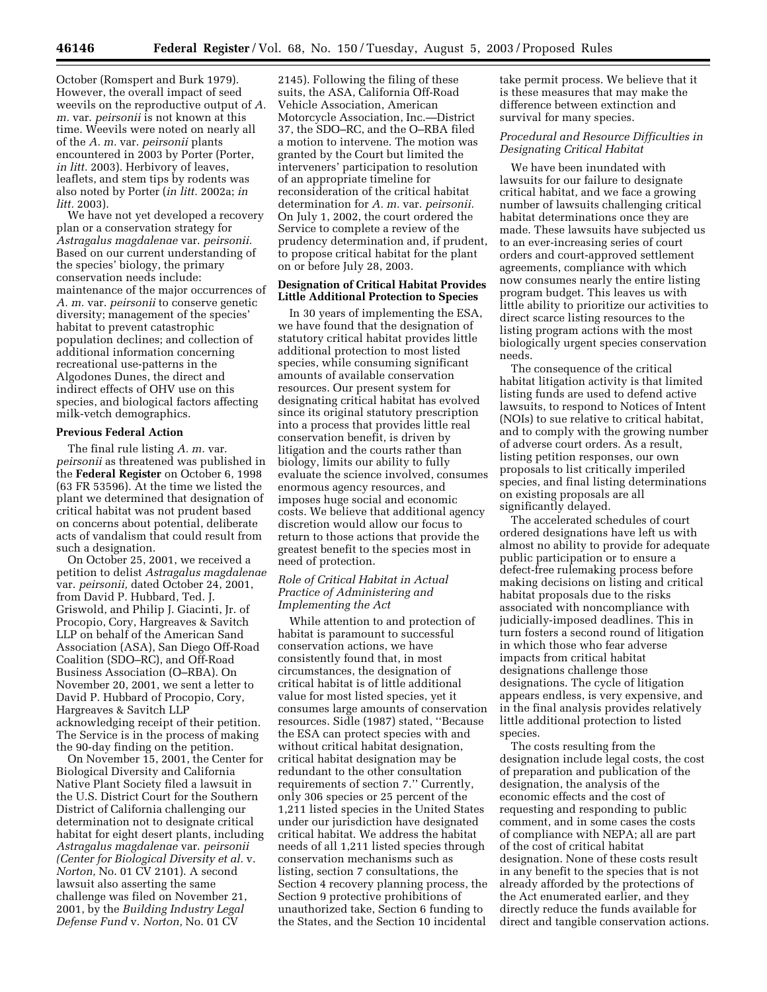October (Romspert and Burk 1979). However, the overall impact of seed weevils on the reproductive output of *A. m.* var. *peirsonii* is not known at this time. Weevils were noted on nearly all of the *A. m.* var. *peirsonii* plants encountered in 2003 by Porter (Porter, *in litt.* 2003). Herbivory of leaves, leaflets, and stem tips by rodents was also noted by Porter (*in litt.* 2002a; *in litt.* 2003).

We have not yet developed a recovery plan or a conservation strategy for *Astragalus magdalenae* var. *peirsonii.* Based on our current understanding of the species' biology, the primary conservation needs include: maintenance of the major occurrences of *A. m.* var. *peirsonii* to conserve genetic diversity; management of the species' habitat to prevent catastrophic population declines; and collection of additional information concerning recreational use-patterns in the Algodones Dunes, the direct and indirect effects of OHV use on this species, and biological factors affecting milk-vetch demographics.

## **Previous Federal Action**

The final rule listing *A. m.* var. *peirsonii* as threatened was published in the **Federal Register** on October 6, 1998 (63 FR 53596). At the time we listed the plant we determined that designation of critical habitat was not prudent based on concerns about potential, deliberate acts of vandalism that could result from such a designation.

On October 25, 2001, we received a petition to delist *Astragalus magdalenae* var. *peirsonii,* dated October 24, 2001, from David P. Hubbard, Ted. J. Griswold, and Philip J. Giacinti, Jr. of Procopio, Cory, Hargreaves & Savitch LLP on behalf of the American Sand Association (ASA), San Diego Off-Road Coalition (SDO–RC), and Off-Road Business Association (O–RBA). On November 20, 2001, we sent a letter to David P. Hubbard of Procopio, Cory, Hargreaves & Savitch LLP acknowledging receipt of their petition. The Service is in the process of making the 90-day finding on the petition.

On November 15, 2001, the Center for Biological Diversity and California Native Plant Society filed a lawsuit in the U.S. District Court for the Southern District of California challenging our determination not to designate critical habitat for eight desert plants, including *Astragalus magdalenae* var. *peirsonii (Center for Biological Diversity et al.* v. *Norton,* No. 01 CV 2101). A second lawsuit also asserting the same challenge was filed on November 21, 2001, by the *Building Industry Legal Defense Fund* v. *Norton,* No. 01 CV

2145). Following the filing of these suits, the ASA, California Off-Road Vehicle Association, American Motorcycle Association, Inc.—District 37, the SDO–RC, and the O–RBA filed a motion to intervene. The motion was granted by the Court but limited the interveners' participation to resolution of an appropriate timeline for reconsideration of the critical habitat determination for *A. m.* var. *peirsonii.* On July 1, 2002, the court ordered the Service to complete a review of the prudency determination and, if prudent, to propose critical habitat for the plant on or before July 28, 2003.

## **Designation of Critical Habitat Provides Little Additional Protection to Species**

In 30 years of implementing the ESA, we have found that the designation of statutory critical habitat provides little additional protection to most listed species, while consuming significant amounts of available conservation resources. Our present system for designating critical habitat has evolved since its original statutory prescription into a process that provides little real conservation benefit, is driven by litigation and the courts rather than biology, limits our ability to fully evaluate the science involved, consumes enormous agency resources, and imposes huge social and economic costs. We believe that additional agency discretion would allow our focus to return to those actions that provide the greatest benefit to the species most in need of protection.

## *Role of Critical Habitat in Actual Practice of Administering and Implementing the Act*

While attention to and protection of habitat is paramount to successful conservation actions, we have consistently found that, in most circumstances, the designation of critical habitat is of little additional value for most listed species, yet it consumes large amounts of conservation resources. Sidle (1987) stated, ''Because the ESA can protect species with and without critical habitat designation, critical habitat designation may be redundant to the other consultation requirements of section 7.'' Currently, only 306 species or 25 percent of the 1,211 listed species in the United States under our jurisdiction have designated critical habitat. We address the habitat needs of all 1,211 listed species through conservation mechanisms such as listing, section 7 consultations, the Section 4 recovery planning process, the Section 9 protective prohibitions of unauthorized take, Section 6 funding to the States, and the Section 10 incidental

take permit process. We believe that it is these measures that may make the difference between extinction and survival for many species.

# *Procedural and Resource Difficulties in Designating Critical Habitat*

We have been inundated with lawsuits for our failure to designate critical habitat, and we face a growing number of lawsuits challenging critical habitat determinations once they are made. These lawsuits have subjected us to an ever-increasing series of court orders and court-approved settlement agreements, compliance with which now consumes nearly the entire listing program budget. This leaves us with little ability to prioritize our activities to direct scarce listing resources to the listing program actions with the most biologically urgent species conservation needs.

The consequence of the critical habitat litigation activity is that limited listing funds are used to defend active lawsuits, to respond to Notices of Intent (NOIs) to sue relative to critical habitat, and to comply with the growing number of adverse court orders. As a result, listing petition responses, our own proposals to list critically imperiled species, and final listing determinations on existing proposals are all significantly delayed.

The accelerated schedules of court ordered designations have left us with almost no ability to provide for adequate public participation or to ensure a defect-free rulemaking process before making decisions on listing and critical habitat proposals due to the risks associated with noncompliance with judicially-imposed deadlines. This in turn fosters a second round of litigation in which those who fear adverse impacts from critical habitat designations challenge those designations. The cycle of litigation appears endless, is very expensive, and in the final analysis provides relatively little additional protection to listed species.

The costs resulting from the designation include legal costs, the cost of preparation and publication of the designation, the analysis of the economic effects and the cost of requesting and responding to public comment, and in some cases the costs of compliance with NEPA; all are part of the cost of critical habitat designation. None of these costs result in any benefit to the species that is not already afforded by the protections of the Act enumerated earlier, and they directly reduce the funds available for direct and tangible conservation actions.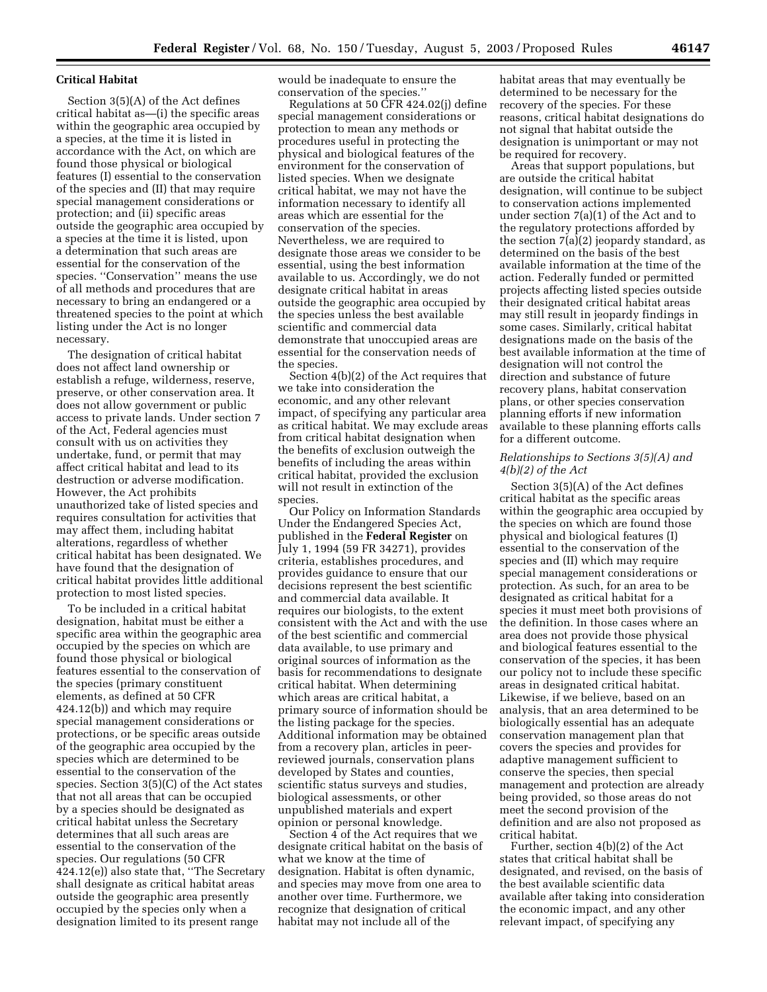#### **Critical Habitat**

Section 3(5)(A) of the Act defines critical habitat as—(i) the specific areas within the geographic area occupied by a species, at the time it is listed in accordance with the Act, on which are found those physical or biological features (I) essential to the conservation of the species and (II) that may require special management considerations or protection; and (ii) specific areas outside the geographic area occupied by a species at the time it is listed, upon a determination that such areas are essential for the conservation of the species. ''Conservation'' means the use of all methods and procedures that are necessary to bring an endangered or a threatened species to the point at which listing under the Act is no longer necessary.

The designation of critical habitat does not affect land ownership or establish a refuge, wilderness, reserve, preserve, or other conservation area. It does not allow government or public access to private lands. Under section 7 of the Act, Federal agencies must consult with us on activities they undertake, fund, or permit that may affect critical habitat and lead to its destruction or adverse modification. However, the Act prohibits unauthorized take of listed species and requires consultation for activities that may affect them, including habitat alterations, regardless of whether critical habitat has been designated. We have found that the designation of critical habitat provides little additional protection to most listed species.

To be included in a critical habitat designation, habitat must be either a specific area within the geographic area occupied by the species on which are found those physical or biological features essential to the conservation of the species (primary constituent elements, as defined at 50 CFR 424.12(b)) and which may require special management considerations or protections, or be specific areas outside of the geographic area occupied by the species which are determined to be essential to the conservation of the species. Section 3(5)(C) of the Act states that not all areas that can be occupied by a species should be designated as critical habitat unless the Secretary determines that all such areas are essential to the conservation of the species. Our regulations (50 CFR 424.12(e)) also state that, ''The Secretary shall designate as critical habitat areas outside the geographic area presently occupied by the species only when a designation limited to its present range

would be inadequate to ensure the conservation of the species.''

Regulations at 50 CFR 424.02(j) define special management considerations or protection to mean any methods or procedures useful in protecting the physical and biological features of the environment for the conservation of listed species. When we designate critical habitat, we may not have the information necessary to identify all areas which are essential for the conservation of the species. Nevertheless, we are required to designate those areas we consider to be essential, using the best information available to us. Accordingly, we do not designate critical habitat in areas outside the geographic area occupied by the species unless the best available scientific and commercial data demonstrate that unoccupied areas are essential for the conservation needs of the species.

Section 4(b)(2) of the Act requires that we take into consideration the economic, and any other relevant impact, of specifying any particular area as critical habitat. We may exclude areas from critical habitat designation when the benefits of exclusion outweigh the benefits of including the areas within critical habitat, provided the exclusion will not result in extinction of the species.

Our Policy on Information Standards Under the Endangered Species Act, published in the **Federal Register** on July 1, 1994 (59 FR 34271), provides criteria, establishes procedures, and provides guidance to ensure that our decisions represent the best scientific and commercial data available. It requires our biologists, to the extent consistent with the Act and with the use of the best scientific and commercial data available, to use primary and original sources of information as the basis for recommendations to designate critical habitat. When determining which areas are critical habitat, a primary source of information should be the listing package for the species. Additional information may be obtained from a recovery plan, articles in peerreviewed journals, conservation plans developed by States and counties, scientific status surveys and studies, biological assessments, or other unpublished materials and expert opinion or personal knowledge.

Section 4 of the Act requires that we designate critical habitat on the basis of what we know at the time of designation. Habitat is often dynamic, and species may move from one area to another over time. Furthermore, we recognize that designation of critical habitat may not include all of the

habitat areas that may eventually be determined to be necessary for the recovery of the species. For these reasons, critical habitat designations do not signal that habitat outside the designation is unimportant or may not be required for recovery.

Areas that support populations, but are outside the critical habitat designation, will continue to be subject to conservation actions implemented under section 7(a)(1) of the Act and to the regulatory protections afforded by the section 7(a)(2) jeopardy standard, as determined on the basis of the best available information at the time of the action. Federally funded or permitted projects affecting listed species outside their designated critical habitat areas may still result in jeopardy findings in some cases. Similarly, critical habitat designations made on the basis of the best available information at the time of designation will not control the direction and substance of future recovery plans, habitat conservation plans, or other species conservation planning efforts if new information available to these planning efforts calls for a different outcome.

## *Relationships to Sections 3(5)(A) and 4(b)(2) of the Act*

Section 3(5)(A) of the Act defines critical habitat as the specific areas within the geographic area occupied by the species on which are found those physical and biological features (I) essential to the conservation of the species and (II) which may require special management considerations or protection. As such, for an area to be designated as critical habitat for a species it must meet both provisions of the definition. In those cases where an area does not provide those physical and biological features essential to the conservation of the species, it has been our policy not to include these specific areas in designated critical habitat. Likewise, if we believe, based on an analysis, that an area determined to be biologically essential has an adequate conservation management plan that covers the species and provides for adaptive management sufficient to conserve the species, then special management and protection are already being provided, so those areas do not meet the second provision of the definition and are also not proposed as critical habitat.

Further, section 4(b)(2) of the Act states that critical habitat shall be designated, and revised, on the basis of the best available scientific data available after taking into consideration the economic impact, and any other relevant impact, of specifying any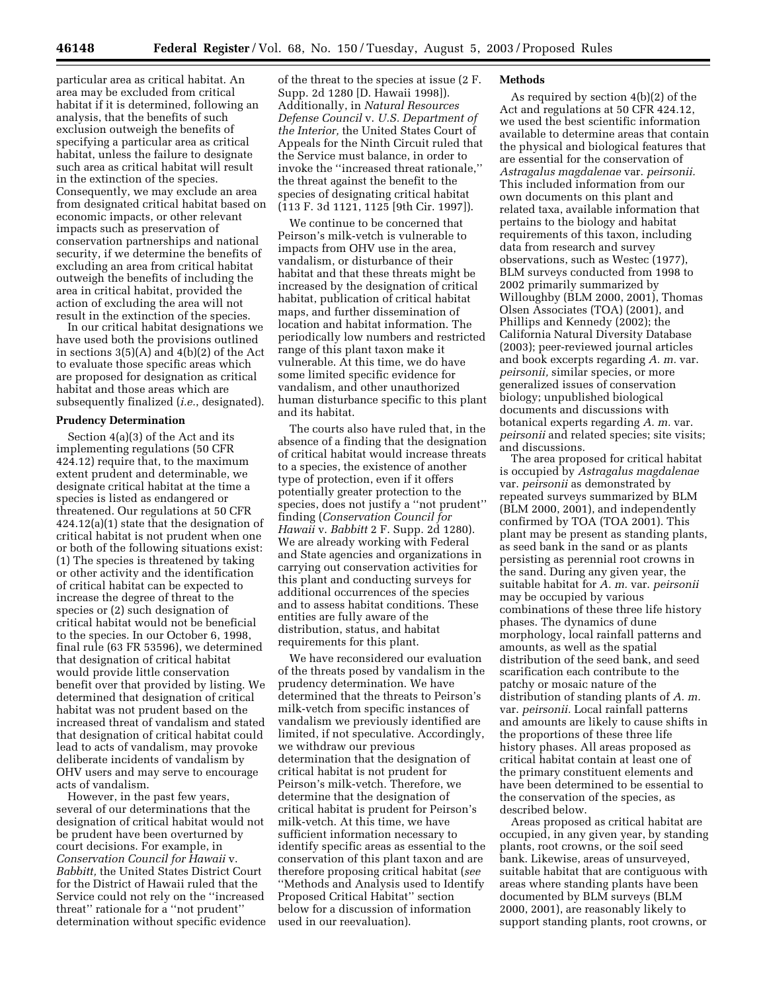particular area as critical habitat. An area may be excluded from critical habitat if it is determined, following an analysis, that the benefits of such exclusion outweigh the benefits of specifying a particular area as critical habitat, unless the failure to designate such area as critical habitat will result in the extinction of the species. Consequently, we may exclude an area from designated critical habitat based on economic impacts, or other relevant impacts such as preservation of conservation partnerships and national security, if we determine the benefits of excluding an area from critical habitat outweigh the benefits of including the area in critical habitat, provided the action of excluding the area will not result in the extinction of the species.

In our critical habitat designations we have used both the provisions outlined in sections 3(5)(A) and 4(b)(2) of the Act to evaluate those specific areas which are proposed for designation as critical habitat and those areas which are subsequently finalized (*i.e.*, designated).

## **Prudency Determination**

Section 4(a)(3) of the Act and its implementing regulations (50 CFR 424.12) require that, to the maximum extent prudent and determinable, we designate critical habitat at the time a species is listed as endangered or threatened. Our regulations at 50 CFR 424.12(a)(1) state that the designation of critical habitat is not prudent when one or both of the following situations exist: (1) The species is threatened by taking or other activity and the identification of critical habitat can be expected to increase the degree of threat to the species or (2) such designation of critical habitat would not be beneficial to the species. In our October 6, 1998, final rule (63 FR 53596), we determined that designation of critical habitat would provide little conservation benefit over that provided by listing. We determined that designation of critical habitat was not prudent based on the increased threat of vandalism and stated that designation of critical habitat could lead to acts of vandalism, may provoke deliberate incidents of vandalism by OHV users and may serve to encourage acts of vandalism.

However, in the past few years, several of our determinations that the designation of critical habitat would not be prudent have been overturned by court decisions. For example, in *Conservation Council for Hawaii* v. *Babbitt,* the United States District Court for the District of Hawaii ruled that the Service could not rely on the ''increased threat'' rationale for a ''not prudent'' determination without specific evidence

of the threat to the species at issue (2 F. Supp. 2d 1280 [D. Hawaii 1998]). Additionally, in *Natural Resources Defense Council* v. *U.S. Department of the Interior,* the United States Court of Appeals for the Ninth Circuit ruled that the Service must balance, in order to invoke the ''increased threat rationale,'' the threat against the benefit to the species of designating critical habitat (113 F. 3d 1121, 1125 [9th Cir. 1997]).

We continue to be concerned that Peirson's milk-vetch is vulnerable to impacts from OHV use in the area, vandalism, or disturbance of their habitat and that these threats might be increased by the designation of critical habitat, publication of critical habitat maps, and further dissemination of location and habitat information. The periodically low numbers and restricted range of this plant taxon make it vulnerable. At this time, we do have some limited specific evidence for vandalism, and other unauthorized human disturbance specific to this plant and its habitat.

The courts also have ruled that, in the absence of a finding that the designation of critical habitat would increase threats to a species, the existence of another type of protection, even if it offers potentially greater protection to the species, does not justify a ''not prudent'' finding (*Conservation Council for Hawaii* v. *Babbitt* 2 F. Supp. 2d 1280). We are already working with Federal and State agencies and organizations in carrying out conservation activities for this plant and conducting surveys for additional occurrences of the species and to assess habitat conditions. These entities are fully aware of the distribution, status, and habitat requirements for this plant.

We have reconsidered our evaluation of the threats posed by vandalism in the prudency determination. We have determined that the threats to Peirson's milk-vetch from specific instances of vandalism we previously identified are limited, if not speculative. Accordingly, we withdraw our previous determination that the designation of critical habitat is not prudent for Peirson's milk-vetch. Therefore, we determine that the designation of critical habitat is prudent for Peirson's milk-vetch. At this time, we have sufficient information necessary to identify specific areas as essential to the conservation of this plant taxon and are therefore proposing critical habitat (*see* ''Methods and Analysis used to Identify Proposed Critical Habitat'' section below for a discussion of information used in our reevaluation).

#### **Methods**

As required by section 4(b)(2) of the Act and regulations at 50 CFR 424.12, we used the best scientific information available to determine areas that contain the physical and biological features that are essential for the conservation of *Astragalus magdalenae* var. *peirsonii.* This included information from our own documents on this plant and related taxa, available information that pertains to the biology and habitat requirements of this taxon, including data from research and survey observations, such as Westec (1977), BLM surveys conducted from 1998 to 2002 primarily summarized by Willoughby (BLM 2000, 2001), Thomas Olsen Associates (TOA) (2001), and Phillips and Kennedy (2002); the California Natural Diversity Database (2003); peer-reviewed journal articles and book excerpts regarding *A. m.* var. *peirsonii,* similar species, or more generalized issues of conservation biology; unpublished biological documents and discussions with botanical experts regarding *A. m.* var. *peirsonii* and related species; site visits; and discussions.

The area proposed for critical habitat is occupied by *Astragalus magdalenae* var. *peirsonii* as demonstrated by repeated surveys summarized by BLM (BLM 2000, 2001), and independently confirmed by TOA (TOA 2001). This plant may be present as standing plants, as seed bank in the sand or as plants persisting as perennial root crowns in the sand. During any given year, the suitable habitat for *A. m.* var. *peirsonii* may be occupied by various combinations of these three life history phases. The dynamics of dune morphology, local rainfall patterns and amounts, as well as the spatial distribution of the seed bank, and seed scarification each contribute to the patchy or mosaic nature of the distribution of standing plants of *A. m.* var. *peirsonii.* Local rainfall patterns and amounts are likely to cause shifts in the proportions of these three life history phases. All areas proposed as critical habitat contain at least one of the primary constituent elements and have been determined to be essential to the conservation of the species, as described below.

Areas proposed as critical habitat are occupied, in any given year, by standing plants, root crowns, or the soil seed bank. Likewise, areas of unsurveyed, suitable habitat that are contiguous with areas where standing plants have been documented by BLM surveys (BLM 2000, 2001), are reasonably likely to support standing plants, root crowns, or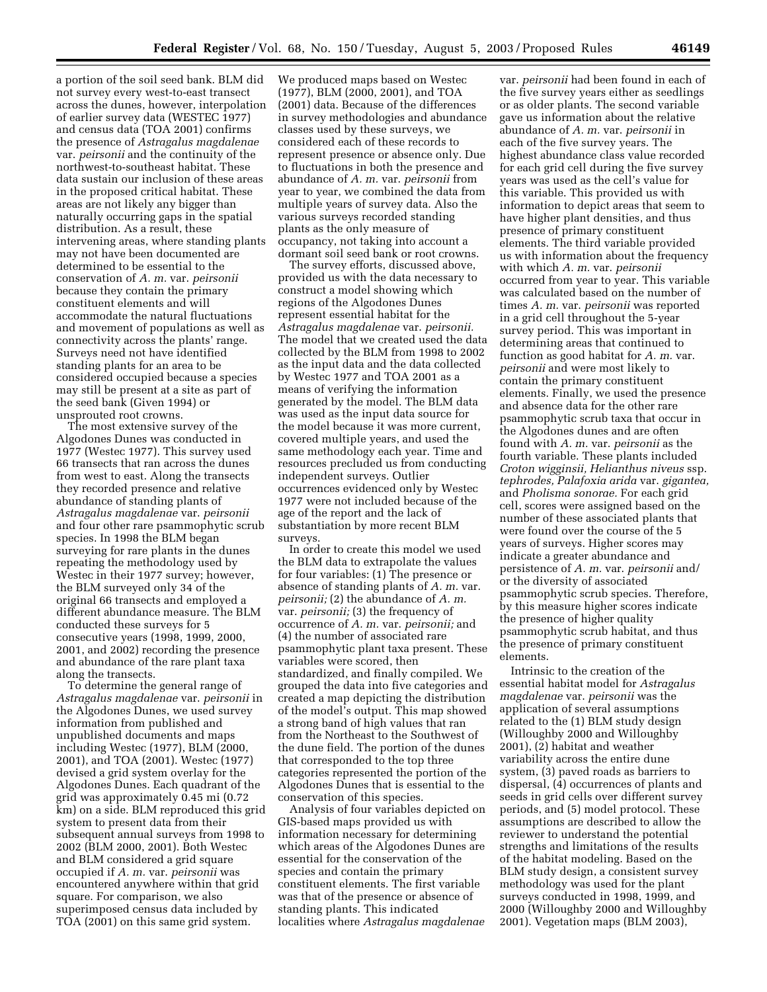a portion of the soil seed bank. BLM did not survey every west-to-east transect across the dunes, however, interpolation of earlier survey data (WESTEC 1977) and census data (TOA 2001) confirms the presence of *Astragalus magdalenae* var. *peirsonii* and the continuity of the northwest-to-southeast habitat. These data sustain our inclusion of these areas in the proposed critical habitat. These areas are not likely any bigger than naturally occurring gaps in the spatial distribution. As a result, these intervening areas, where standing plants may not have been documented are determined to be essential to the conservation of *A. m.* var. *peirsonii* because they contain the primary constituent elements and will accommodate the natural fluctuations and movement of populations as well as connectivity across the plants' range. Surveys need not have identified standing plants for an area to be considered occupied because a species may still be present at a site as part of the seed bank (Given 1994) or unsprouted root crowns.

The most extensive survey of the Algodones Dunes was conducted in 1977 (Westec 1977). This survey used 66 transects that ran across the dunes from west to east. Along the transects they recorded presence and relative abundance of standing plants of *Astragalus magdalenae* var. *peirsonii* and four other rare psammophytic scrub species. In 1998 the BLM began surveying for rare plants in the dunes repeating the methodology used by Westec in their 1977 survey; however, the BLM surveyed only 34 of the original 66 transects and employed a different abundance measure. The BLM conducted these surveys for 5 consecutive years (1998, 1999, 2000, 2001, and 2002) recording the presence and abundance of the rare plant taxa along the transects.

To determine the general range of *Astragalus magdalenae* var. *peirsonii* in the Algodones Dunes, we used survey information from published and unpublished documents and maps including Westec (1977), BLM (2000, 2001), and TOA (2001). Westec (1977) devised a grid system overlay for the Algodones Dunes. Each quadrant of the grid was approximately 0.45 mi (0.72 km) on a side. BLM reproduced this grid system to present data from their subsequent annual surveys from 1998 to 2002 (BLM 2000, 2001). Both Westec and BLM considered a grid square occupied if *A. m.* var. *peirsonii* was encountered anywhere within that grid square. For comparison, we also superimposed census data included by TOA (2001) on this same grid system.

We produced maps based on Westec (1977), BLM (2000, 2001), and TOA (2001) data. Because of the differences in survey methodologies and abundance classes used by these surveys, we considered each of these records to represent presence or absence only. Due to fluctuations in both the presence and abundance of *A. m.* var. *peirsonii* from year to year, we combined the data from multiple years of survey data. Also the various surveys recorded standing plants as the only measure of occupancy, not taking into account a dormant soil seed bank or root crowns.

The survey efforts, discussed above, provided us with the data necessary to construct a model showing which regions of the Algodones Dunes represent essential habitat for the *Astragalus magdalenae* var. *peirsonii.* The model that we created used the data collected by the BLM from 1998 to 2002 as the input data and the data collected by Westec 1977 and TOA 2001 as a means of verifying the information generated by the model. The BLM data was used as the input data source for the model because it was more current, covered multiple years, and used the same methodology each year. Time and resources precluded us from conducting independent surveys. Outlier occurrences evidenced only by Westec 1977 were not included because of the age of the report and the lack of substantiation by more recent BLM surveys.

In order to create this model we used the BLM data to extrapolate the values for four variables: (1) The presence or absence of standing plants of *A. m.* var. *peirsonii;* (2) the abundance of *A. m.* var. *peirsonii;* (3) the frequency of occurrence of *A. m.* var. *peirsonii;* and (4) the number of associated rare psammophytic plant taxa present. These variables were scored, then standardized, and finally compiled. We grouped the data into five categories and created a map depicting the distribution of the model's output. This map showed a strong band of high values that ran from the Northeast to the Southwest of the dune field. The portion of the dunes that corresponded to the top three categories represented the portion of the Algodones Dunes that is essential to the conservation of this species.

Analysis of four variables depicted on GIS-based maps provided us with information necessary for determining which areas of the Algodones Dunes are essential for the conservation of the species and contain the primary constituent elements. The first variable was that of the presence or absence of standing plants. This indicated localities where *Astragalus magdalenae*

var. *peirsonii* had been found in each of the five survey years either as seedlings or as older plants. The second variable gave us information about the relative abundance of *A. m.* var. *peirsonii* in each of the five survey years. The highest abundance class value recorded for each grid cell during the five survey years was used as the cell's value for this variable. This provided us with information to depict areas that seem to have higher plant densities, and thus presence of primary constituent elements. The third variable provided us with information about the frequency with which *A. m.* var. *peirsonii* occurred from year to year. This variable was calculated based on the number of times *A. m.* var. *peirsonii* was reported in a grid cell throughout the 5-year survey period. This was important in determining areas that continued to function as good habitat for *A. m.* var. *peirsonii* and were most likely to contain the primary constituent elements. Finally, we used the presence and absence data for the other rare psammophytic scrub taxa that occur in the Algodones dunes and are often found with *A. m.* var. *peirsonii* as the fourth variable. These plants included *Croton wigginsii, Helianthus niveus* ssp. *tephrodes, Palafoxia arida* var. *gigantea,* and *Pholisma sonorae.* For each grid cell, scores were assigned based on the number of these associated plants that were found over the course of the 5 years of surveys. Higher scores may indicate a greater abundance and persistence of *A. m.* var. *peirsonii* and/ or the diversity of associated psammophytic scrub species. Therefore, by this measure higher scores indicate the presence of higher quality psammophytic scrub habitat, and thus the presence of primary constituent elements.

Intrinsic to the creation of the essential habitat model for *Astragalus magdalenae* var. *peirsonii* was the application of several assumptions related to the (1) BLM study design (Willoughby 2000 and Willoughby 2001), (2) habitat and weather variability across the entire dune system, (3) paved roads as barriers to dispersal, (4) occurrences of plants and seeds in grid cells over different survey periods, and (5) model protocol. These assumptions are described to allow the reviewer to understand the potential strengths and limitations of the results of the habitat modeling. Based on the BLM study design, a consistent survey methodology was used for the plant surveys conducted in 1998, 1999, and 2000 (Willoughby 2000 and Willoughby 2001). Vegetation maps (BLM 2003),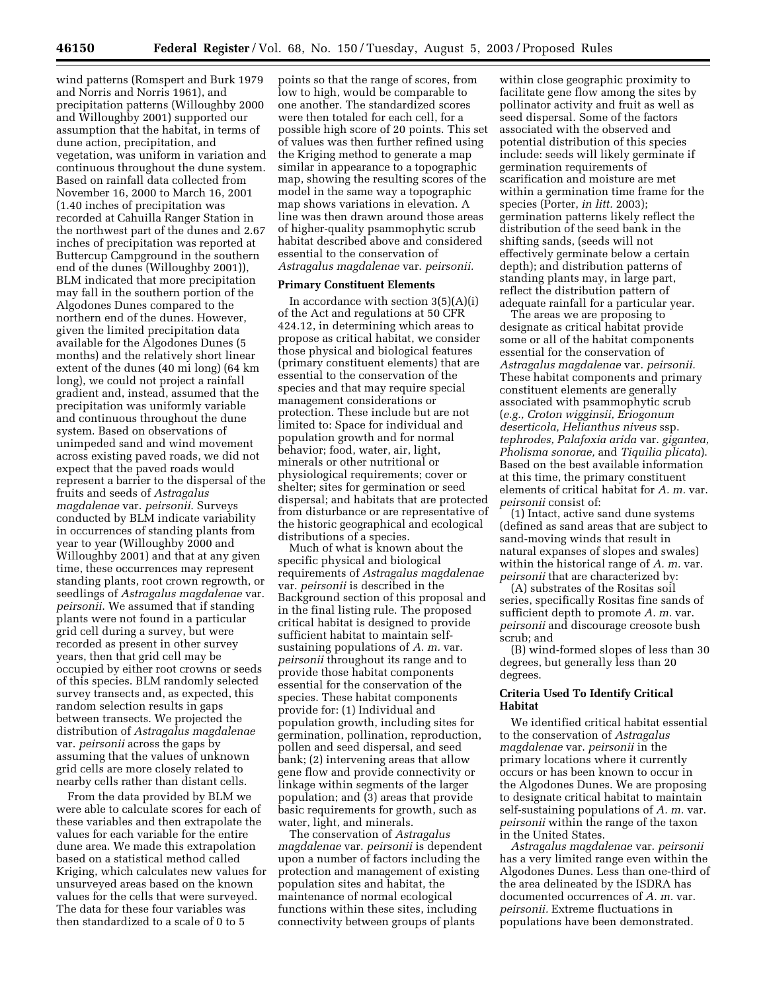wind patterns (Romspert and Burk 1979 and Norris and Norris 1961), and precipitation patterns (Willoughby 2000 and Willoughby 2001) supported our assumption that the habitat, in terms of dune action, precipitation, and vegetation, was uniform in variation and continuous throughout the dune system. Based on rainfall data collected from November 16, 2000 to March 16, 2001 (1.40 inches of precipitation was recorded at Cahuilla Ranger Station in the northwest part of the dunes and 2.67 inches of precipitation was reported at Buttercup Campground in the southern end of the dunes (Willoughby 2001)), BLM indicated that more precipitation may fall in the southern portion of the Algodones Dunes compared to the northern end of the dunes. However, given the limited precipitation data available for the Algodones Dunes (5 months) and the relatively short linear extent of the dunes (40 mi long) (64 km long), we could not project a rainfall gradient and, instead, assumed that the precipitation was uniformly variable and continuous throughout the dune system. Based on observations of unimpeded sand and wind movement across existing paved roads, we did not expect that the paved roads would represent a barrier to the dispersal of the fruits and seeds of *Astragalus magdalenae* var. *peirsonii*. Surveys conducted by BLM indicate variability in occurrences of standing plants from year to year (Willoughby 2000 and Willoughby 2001) and that at any given time, these occurrences may represent standing plants, root crown regrowth, or seedlings of *Astragalus magdalenae* var. *peirsonii*. We assumed that if standing plants were not found in a particular grid cell during a survey, but were recorded as present in other survey years, then that grid cell may be occupied by either root crowns or seeds of this species. BLM randomly selected survey transects and, as expected, this random selection results in gaps between transects. We projected the distribution of *Astragalus magdalenae* var. *peirsonii* across the gaps by assuming that the values of unknown grid cells are more closely related to nearby cells rather than distant cells.

From the data provided by BLM we were able to calculate scores for each of these variables and then extrapolate the values for each variable for the entire dune area. We made this extrapolation based on a statistical method called Kriging, which calculates new values for unsurveyed areas based on the known values for the cells that were surveyed. The data for these four variables was then standardized to a scale of 0 to 5

points so that the range of scores, from low to high, would be comparable to one another. The standardized scores were then totaled for each cell, for a possible high score of 20 points. This set of values was then further refined using the Kriging method to generate a map similar in appearance to a topographic map, showing the resulting scores of the model in the same way a topographic map shows variations in elevation. A line was then drawn around those areas of higher-quality psammophytic scrub habitat described above and considered essential to the conservation of *Astragalus magdalenae* var. *peirsonii.*

#### **Primary Constituent Elements**

In accordance with section  $3(5)(A)(i)$ of the Act and regulations at 50 CFR 424.12, in determining which areas to propose as critical habitat, we consider those physical and biological features (primary constituent elements) that are essential to the conservation of the species and that may require special management considerations or protection. These include but are not limited to: Space for individual and population growth and for normal behavior; food, water, air, light, minerals or other nutritional or physiological requirements; cover or shelter; sites for germination or seed dispersal; and habitats that are protected from disturbance or are representative of the historic geographical and ecological distributions of a species.

Much of what is known about the specific physical and biological requirements of *Astragalus magdalenae* var. *peirsonii* is described in the Background section of this proposal and in the final listing rule. The proposed critical habitat is designed to provide sufficient habitat to maintain selfsustaining populations of *A. m.* var. *peirsonii* throughout its range and to provide those habitat components essential for the conservation of the species. These habitat components provide for: (1) Individual and population growth, including sites for germination, pollination, reproduction, pollen and seed dispersal, and seed bank; (2) intervening areas that allow gene flow and provide connectivity or linkage within segments of the larger population; and (3) areas that provide basic requirements for growth, such as water, light, and minerals.

The conservation of *Astragalus magdalenae* var. *peirsonii* is dependent upon a number of factors including the protection and management of existing population sites and habitat, the maintenance of normal ecological functions within these sites, including connectivity between groups of plants

within close geographic proximity to facilitate gene flow among the sites by pollinator activity and fruit as well as seed dispersal. Some of the factors associated with the observed and potential distribution of this species include: seeds will likely germinate if germination requirements of scarification and moisture are met within a germination time frame for the species (Porter, *in litt.* 2003); germination patterns likely reflect the distribution of the seed bank in the shifting sands, (seeds will not effectively germinate below a certain depth); and distribution patterns of standing plants may, in large part, reflect the distribution pattern of adequate rainfall for a particular year.

The areas we are proposing to designate as critical habitat provide some or all of the habitat components essential for the conservation of *Astragalus magdalenae* var. *peirsonii.* These habitat components and primary constituent elements are generally associated with psammophytic scrub (*e.g., Croton wigginsii, Eriogonum deserticola, Helianthus niveus* ssp. *tephrodes, Palafoxia arida* var. *gigantea, Pholisma sonorae,* and *Tiquilia plicata*). Based on the best available information at this time, the primary constituent elements of critical habitat for *A. m.* var. *peirsonii* consist of:

(1) Intact, active sand dune systems (defined as sand areas that are subject to sand-moving winds that result in natural expanses of slopes and swales) within the historical range of *A. m.* var. *peirsonii* that are characterized by:

(A) substrates of the Rositas soil series, specifically Rositas fine sands of sufficient depth to promote *A. m.* var. *peirsonii* and discourage creosote bush scrub; and

(B) wind-formed slopes of less than 30 degrees, but generally less than 20 degrees.

## **Criteria Used To Identify Critical Habitat**

We identified critical habitat essential to the conservation of *Astragalus magdalenae* var. *peirsonii* in the primary locations where it currently occurs or has been known to occur in the Algodones Dunes. We are proposing to designate critical habitat to maintain self-sustaining populations of *A. m.* var. *peirsonii* within the range of the taxon in the United States.

*Astragalus magdalenae* var. *peirsonii* has a very limited range even within the Algodones Dunes. Less than one-third of the area delineated by the ISDRA has documented occurrences of *A. m.* var. *peirsonii.* Extreme fluctuations in populations have been demonstrated.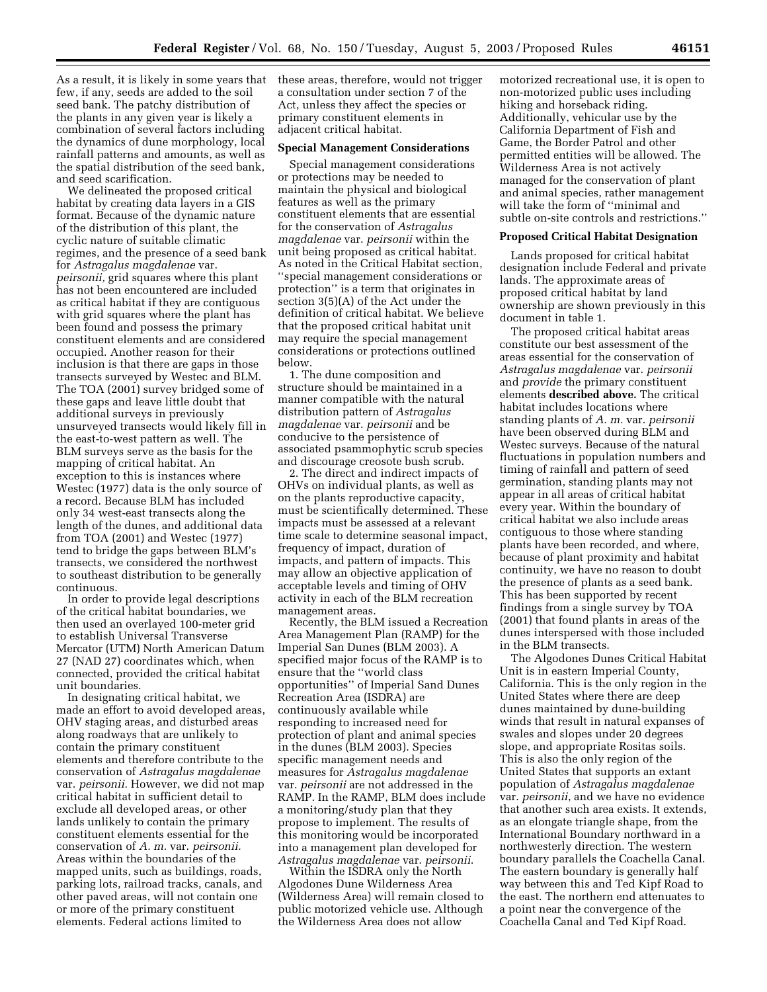As a result, it is likely in some years that these areas, therefore, would not trigger few, if any, seeds are added to the soil seed bank. The patchy distribution of the plants in any given year is likely a combination of several factors including the dynamics of dune morphology, local rainfall patterns and amounts, as well as the spatial distribution of the seed bank, and seed scarification.

We delineated the proposed critical habitat by creating data layers in a GIS format. Because of the dynamic nature of the distribution of this plant, the cyclic nature of suitable climatic regimes, and the presence of a seed bank for *Astragalus magdalenae* var. *peirsonii,* grid squares where this plant has not been encountered are included as critical habitat if they are contiguous with grid squares where the plant has been found and possess the primary constituent elements and are considered occupied. Another reason for their inclusion is that there are gaps in those transects surveyed by Westec and BLM. The TOA (2001) survey bridged some of these gaps and leave little doubt that additional surveys in previously unsurveyed transects would likely fill in the east-to-west pattern as well. The BLM surveys serve as the basis for the mapping of critical habitat. An exception to this is instances where Westec (1977) data is the only source of a record. Because BLM has included only 34 west-east transects along the length of the dunes, and additional data from TOA (2001) and Westec (1977) tend to bridge the gaps between BLM's transects, we considered the northwest to southeast distribution to be generally continuous.

In order to provide legal descriptions of the critical habitat boundaries, we then used an overlayed 100-meter grid to establish Universal Transverse Mercator (UTM) North American Datum 27 (NAD 27) coordinates which, when connected, provided the critical habitat unit boundaries.

In designating critical habitat, we made an effort to avoid developed areas, OHV staging areas, and disturbed areas along roadways that are unlikely to contain the primary constituent elements and therefore contribute to the conservation of *Astragalus magdalenae* var. *peirsonii.* However, we did not map critical habitat in sufficient detail to exclude all developed areas, or other lands unlikely to contain the primary constituent elements essential for the conservation of *A. m.* var. *peirsonii.* Areas within the boundaries of the mapped units, such as buildings, roads, parking lots, railroad tracks, canals, and other paved areas, will not contain one or more of the primary constituent elements. Federal actions limited to

a consultation under section 7 of the Act, unless they affect the species or primary constituent elements in adjacent critical habitat.

#### **Special Management Considerations**

Special management considerations or protections may be needed to maintain the physical and biological features as well as the primary constituent elements that are essential for the conservation of *Astragalus magdalenae* var. *peirsonii* within the unit being proposed as critical habitat. As noted in the Critical Habitat section, ''special management considerations or protection'' is a term that originates in section 3(5)(A) of the Act under the definition of critical habitat. We believe that the proposed critical habitat unit may require the special management considerations or protections outlined below.

1. The dune composition and structure should be maintained in a manner compatible with the natural distribution pattern of *Astragalus magdalenae* var. *peirsonii* and be conducive to the persistence of associated psammophytic scrub species and discourage creosote bush scrub.

2. The direct and indirect impacts of OHVs on individual plants, as well as on the plants reproductive capacity, must be scientifically determined. These impacts must be assessed at a relevant time scale to determine seasonal impact, frequency of impact, duration of impacts, and pattern of impacts. This may allow an objective application of acceptable levels and timing of OHV activity in each of the BLM recreation management areas.

Recently, the BLM issued a Recreation Area Management Plan (RAMP) for the Imperial San Dunes (BLM 2003). A specified major focus of the RAMP is to ensure that the ''world class opportunities'' of Imperial Sand Dunes Recreation Area (ISDRA) are continuously available while responding to increased need for protection of plant and animal species in the dunes (BLM 2003). Species specific management needs and measures for *Astragalus magdalenae* var. *peirsonii* are not addressed in the RAMP. In the RAMP, BLM does include a monitoring/study plan that they propose to implement. The results of this monitoring would be incorporated into a management plan developed for *Astragalus magdalenae* var. *peirsonii*.

Within the ISDRA only the North Algodones Dune Wilderness Area (Wilderness Area) will remain closed to public motorized vehicle use. Although the Wilderness Area does not allow

motorized recreational use, it is open to non-motorized public uses including hiking and horseback riding. Additionally, vehicular use by the California Department of Fish and Game, the Border Patrol and other permitted entities will be allowed. The Wilderness Area is not actively managed for the conservation of plant and animal species, rather management will take the form of ''minimal and subtle on-site controls and restrictions.''

#### **Proposed Critical Habitat Designation**

Lands proposed for critical habitat designation include Federal and private lands. The approximate areas of proposed critical habitat by land ownership are shown previously in this document in table 1.

The proposed critical habitat areas constitute our best assessment of the areas essential for the conservation of *Astragalus magdalenae* var. *peirsonii* and *provide* the primary constituent elements **described above.** The critical habitat includes locations where standing plants of *A. m.* var. *peirsonii* have been observed during BLM and Westec surveys. Because of the natural fluctuations in population numbers and timing of rainfall and pattern of seed germination, standing plants may not appear in all areas of critical habitat every year. Within the boundary of critical habitat we also include areas contiguous to those where standing plants have been recorded, and where, because of plant proximity and habitat continuity, we have no reason to doubt the presence of plants as a seed bank. This has been supported by recent findings from a single survey by TOA (2001) that found plants in areas of the dunes interspersed with those included in the BLM transects.

The Algodones Dunes Critical Habitat Unit is in eastern Imperial County, California. This is the only region in the United States where there are deep dunes maintained by dune-building winds that result in natural expanses of swales and slopes under 20 degrees slope, and appropriate Rositas soils. This is also the only region of the United States that supports an extant population of *Astragalus magdalenae* var. *peirsonii*, and we have no evidence that another such area exists. It extends, as an elongate triangle shape, from the International Boundary northward in a northwesterly direction. The western boundary parallels the Coachella Canal. The eastern boundary is generally half way between this and Ted Kipf Road to the east. The northern end attenuates to a point near the convergence of the Coachella Canal and Ted Kipf Road.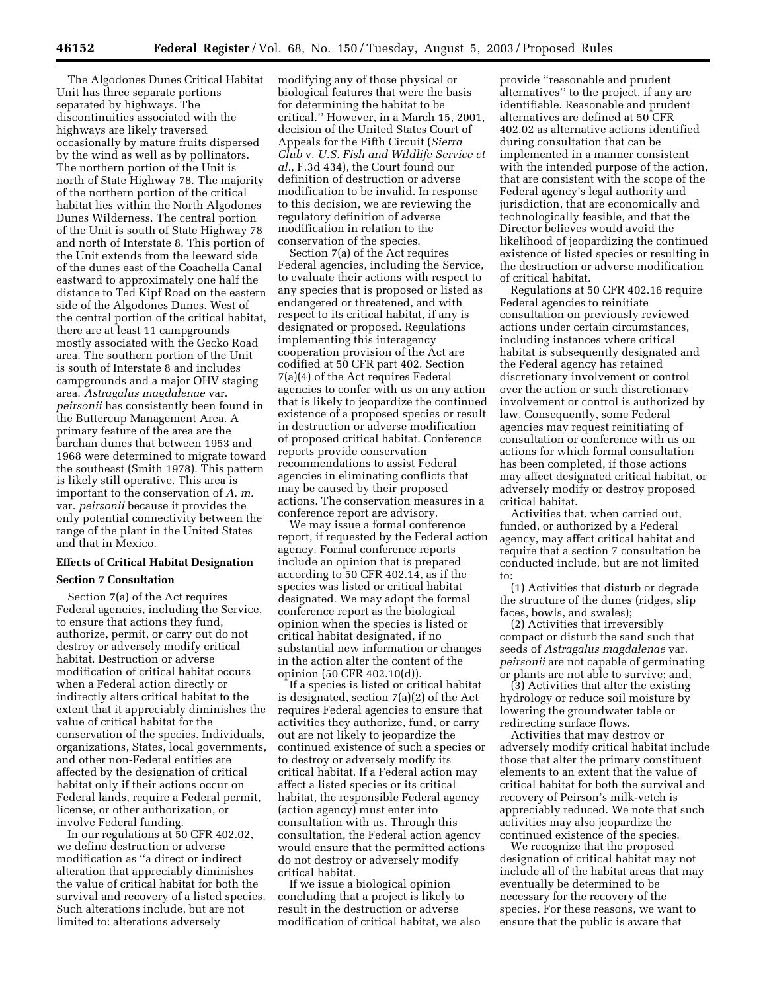The Algodones Dunes Critical Habitat Unit has three separate portions separated by highways. The discontinuities associated with the highways are likely traversed occasionally by mature fruits dispersed by the wind as well as by pollinators. The northern portion of the Unit is north of State Highway 78. The majority of the northern portion of the critical habitat lies within the North Algodones Dunes Wilderness. The central portion of the Unit is south of State Highway 78 and north of Interstate 8. This portion of the Unit extends from the leeward side of the dunes east of the Coachella Canal eastward to approximately one half the distance to Ted Kipf Road on the eastern side of the Algodones Dunes. West of the central portion of the critical habitat, there are at least 11 campgrounds mostly associated with the Gecko Road area. The southern portion of the Unit is south of Interstate 8 and includes campgrounds and a major OHV staging area. *Astragalus magdalenae* var. *peirsonii* has consistently been found in the Buttercup Management Area. A primary feature of the area are the barchan dunes that between 1953 and 1968 were determined to migrate toward the southeast (Smith 1978). This pattern is likely still operative. This area is important to the conservation of *A. m.* var. *peirsonii* because it provides the only potential connectivity between the range of the plant in the United States and that in Mexico.

# **Effects of Critical Habitat Designation**

# **Section 7 Consultation**

Section 7(a) of the Act requires Federal agencies, including the Service, to ensure that actions they fund, authorize, permit, or carry out do not destroy or adversely modify critical habitat. Destruction or adverse modification of critical habitat occurs when a Federal action directly or indirectly alters critical habitat to the extent that it appreciably diminishes the value of critical habitat for the conservation of the species. Individuals, organizations, States, local governments, and other non-Federal entities are affected by the designation of critical habitat only if their actions occur on Federal lands, require a Federal permit, license, or other authorization, or involve Federal funding.

In our regulations at 50 CFR 402.02, we define destruction or adverse modification as ''a direct or indirect alteration that appreciably diminishes the value of critical habitat for both the survival and recovery of a listed species. Such alterations include, but are not limited to: alterations adversely

modifying any of those physical or biological features that were the basis for determining the habitat to be critical.'' However, in a March 15, 2001, decision of the United States Court of Appeals for the Fifth Circuit (*Sierra Club* v. *U.S. Fish and Wildlife Service et al.*, F.3d 434), the Court found our definition of destruction or adverse modification to be invalid. In response to this decision, we are reviewing the regulatory definition of adverse modification in relation to the conservation of the species.

Section 7(a) of the Act requires Federal agencies, including the Service, to evaluate their actions with respect to any species that is proposed or listed as endangered or threatened, and with respect to its critical habitat, if any is designated or proposed. Regulations implementing this interagency cooperation provision of the Act are codified at 50 CFR part 402. Section 7(a)(4) of the Act requires Federal agencies to confer with us on any action that is likely to jeopardize the continued existence of a proposed species or result in destruction or adverse modification of proposed critical habitat. Conference reports provide conservation recommendations to assist Federal agencies in eliminating conflicts that may be caused by their proposed actions. The conservation measures in a conference report are advisory.

We may issue a formal conference report, if requested by the Federal action agency. Formal conference reports include an opinion that is prepared according to 50 CFR 402.14, as if the species was listed or critical habitat designated. We may adopt the formal conference report as the biological opinion when the species is listed or critical habitat designated, if no substantial new information or changes in the action alter the content of the opinion (50 CFR 402.10(d)).

If a species is listed or critical habitat is designated, section 7(a)(2) of the Act requires Federal agencies to ensure that activities they authorize, fund, or carry out are not likely to jeopardize the continued existence of such a species or to destroy or adversely modify its critical habitat. If a Federal action may affect a listed species or its critical habitat, the responsible Federal agency (action agency) must enter into consultation with us. Through this consultation, the Federal action agency would ensure that the permitted actions do not destroy or adversely modify critical habitat.

If we issue a biological opinion concluding that a project is likely to result in the destruction or adverse modification of critical habitat, we also

provide ''reasonable and prudent alternatives'' to the project, if any are identifiable. Reasonable and prudent alternatives are defined at 50 CFR 402.02 as alternative actions identified during consultation that can be implemented in a manner consistent with the intended purpose of the action, that are consistent with the scope of the Federal agency's legal authority and jurisdiction, that are economically and technologically feasible, and that the Director believes would avoid the likelihood of jeopardizing the continued existence of listed species or resulting in the destruction or adverse modification of critical habitat.

Regulations at 50 CFR 402.16 require Federal agencies to reinitiate consultation on previously reviewed actions under certain circumstances, including instances where critical habitat is subsequently designated and the Federal agency has retained discretionary involvement or control over the action or such discretionary involvement or control is authorized by law. Consequently, some Federal agencies may request reinitiating of consultation or conference with us on actions for which formal consultation has been completed, if those actions may affect designated critical habitat, or adversely modify or destroy proposed critical habitat.

Activities that, when carried out, funded, or authorized by a Federal agency, may affect critical habitat and require that a section 7 consultation be conducted include, but are not limited to:

(1) Activities that disturb or degrade the structure of the dunes (ridges, slip faces, bowls, and swales);

(2) Activities that irreversibly compact or disturb the sand such that seeds of *Astragalus magdalenae* var. *peirsonii* are not capable of germinating or plants are not able to survive; and,

(3) Activities that alter the existing hydrology or reduce soil moisture by lowering the groundwater table or redirecting surface flows.

Activities that may destroy or adversely modify critical habitat include those that alter the primary constituent elements to an extent that the value of critical habitat for both the survival and recovery of Peirson's milk-vetch is appreciably reduced. We note that such activities may also jeopardize the continued existence of the species.

We recognize that the proposed designation of critical habitat may not include all of the habitat areas that may eventually be determined to be necessary for the recovery of the species. For these reasons, we want to ensure that the public is aware that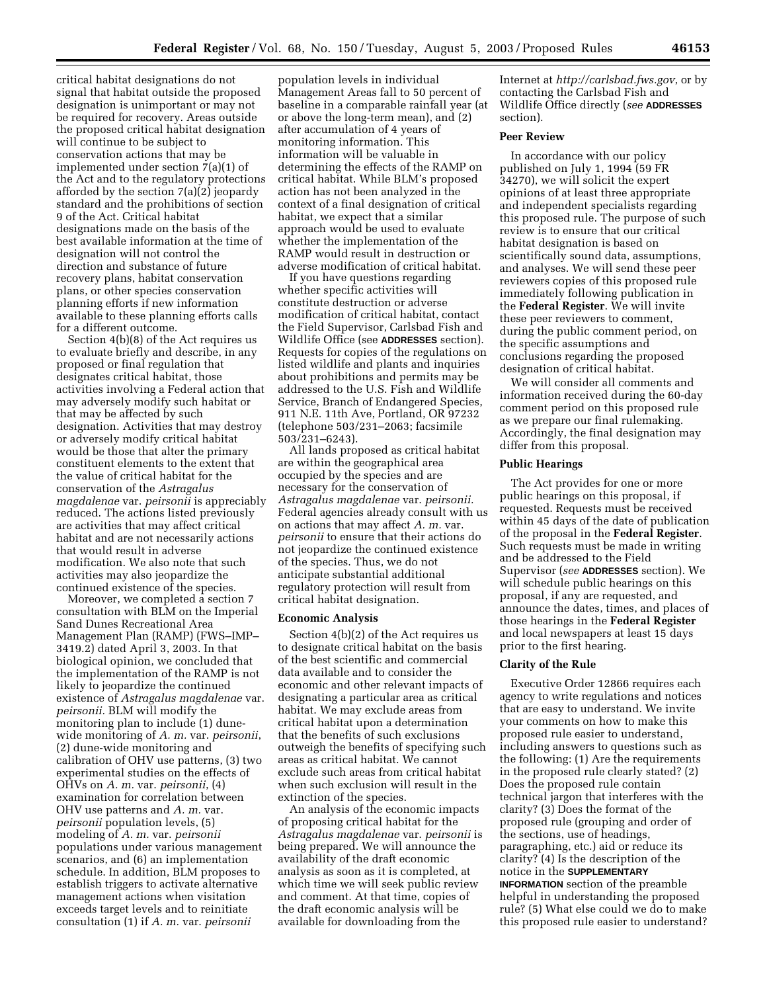critical habitat designations do not signal that habitat outside the proposed designation is unimportant or may not be required for recovery. Areas outside the proposed critical habitat designation will continue to be subject to conservation actions that may be implemented under section 7(a)(1) of the Act and to the regulatory protections afforded by the section 7(a)(2) jeopardy standard and the prohibitions of section 9 of the Act. Critical habitat designations made on the basis of the best available information at the time of designation will not control the direction and substance of future recovery plans, habitat conservation plans, or other species conservation planning efforts if new information available to these planning efforts calls for a different outcome.

Section 4(b)(8) of the Act requires us to evaluate briefly and describe, in any proposed or final regulation that designates critical habitat, those activities involving a Federal action that may adversely modify such habitat or that may be affected by such designation. Activities that may destroy or adversely modify critical habitat would be those that alter the primary constituent elements to the extent that the value of critical habitat for the conservation of the *Astragalus magdalenae* var. *peirsonii* is appreciably reduced. The actions listed previously are activities that may affect critical habitat and are not necessarily actions that would result in adverse modification. We also note that such activities may also jeopardize the continued existence of the species.

Moreover, we completed a section 7 consultation with BLM on the Imperial Sand Dunes Recreational Area Management Plan (RAMP) (FWS–IMP– 3419.2) dated April 3, 2003. In that biological opinion, we concluded that the implementation of the RAMP is not likely to jeopardize the continued existence of *Astragalus magdalenae* var. *peirsonii.* BLM will modify the monitoring plan to include (1) dunewide monitoring of *A. m.* var. *peirsonii*, (2) dune-wide monitoring and calibration of OHV use patterns, (3) two experimental studies on the effects of OHVs on *A. m.* var. *peirsonii*, (4) examination for correlation between OHV use patterns and *A. m.* var. *peirsonii* population levels, (5) modeling of *A. m.* var. *peirsonii* populations under various management scenarios, and (6) an implementation schedule. In addition, BLM proposes to establish triggers to activate alternative management actions when visitation exceeds target levels and to reinitiate consultation (1) if *A. m.* var. *peirsonii*

population levels in individual Management Areas fall to 50 percent of baseline in a comparable rainfall year (at or above the long-term mean), and (2) after accumulation of 4 years of monitoring information. This information will be valuable in determining the effects of the RAMP on critical habitat. While BLM's proposed action has not been analyzed in the context of a final designation of critical habitat, we expect that a similar approach would be used to evaluate whether the implementation of the RAMP would result in destruction or adverse modification of critical habitat.

If you have questions regarding whether specific activities will constitute destruction or adverse modification of critical habitat, contact the Field Supervisor, Carlsbad Fish and Wildlife Office (see **ADDRESSES** section). Requests for copies of the regulations on listed wildlife and plants and inquiries about prohibitions and permits may be addressed to the U.S. Fish and Wildlife Service, Branch of Endangered Species, 911 N.E. 11th Ave, Portland, OR 97232 (telephone 503/231–2063; facsimile 503/231–6243).

All lands proposed as critical habitat are within the geographical area occupied by the species and are necessary for the conservation of *Astragalus magdalenae* var. *peirsonii.* Federal agencies already consult with us on actions that may affect *A. m.* var. *peirsonii* to ensure that their actions do not jeopardize the continued existence of the species. Thus, we do not anticipate substantial additional regulatory protection will result from critical habitat designation.

#### **Economic Analysis**

Section 4(b)(2) of the Act requires us to designate critical habitat on the basis of the best scientific and commercial data available and to consider the economic and other relevant impacts of designating a particular area as critical habitat. We may exclude areas from critical habitat upon a determination that the benefits of such exclusions outweigh the benefits of specifying such areas as critical habitat. We cannot exclude such areas from critical habitat when such exclusion will result in the extinction of the species.

An analysis of the economic impacts of proposing critical habitat for the *Astragalus magdalenae* var. *peirsonii* is being prepared. We will announce the availability of the draft economic analysis as soon as it is completed, at which time we will seek public review and comment. At that time, copies of the draft economic analysis will be available for downloading from the

Internet at *<http://carlsbad.fws.gov>*, or by contacting the Carlsbad Fish and Wildlife Office directly (*see* **ADDRESSES** section).

## **Peer Review**

In accordance with our policy published on July 1, 1994 (59 FR 34270), we will solicit the expert opinions of at least three appropriate and independent specialists regarding this proposed rule. The purpose of such review is to ensure that our critical habitat designation is based on scientifically sound data, assumptions, and analyses. We will send these peer reviewers copies of this proposed rule immediately following publication in the **Federal Register**. We will invite these peer reviewers to comment, during the public comment period, on the specific assumptions and conclusions regarding the proposed designation of critical habitat.

We will consider all comments and information received during the 60-day comment period on this proposed rule as we prepare our final rulemaking. Accordingly, the final designation may differ from this proposal.

#### **Public Hearings**

The Act provides for one or more public hearings on this proposal, if requested. Requests must be received within 45 days of the date of publication of the proposal in the **Federal Register**. Such requests must be made in writing and be addressed to the Field Supervisor (*see* **ADDRESSES** section). We will schedule public hearings on this proposal, if any are requested, and announce the dates, times, and places of those hearings in the **Federal Register** and local newspapers at least 15 days prior to the first hearing.

#### **Clarity of the Rule**

Executive Order 12866 requires each agency to write regulations and notices that are easy to understand. We invite your comments on how to make this proposed rule easier to understand, including answers to questions such as the following: (1) Are the requirements in the proposed rule clearly stated? (2) Does the proposed rule contain technical jargon that interferes with the clarity? (3) Does the format of the proposed rule (grouping and order of the sections, use of headings, paragraphing, etc.) aid or reduce its clarity? (4) Is the description of the notice in the **SUPPLEMENTARY INFORMATION** section of the preamble helpful in understanding the proposed rule? (5) What else could we do to make this proposed rule easier to understand?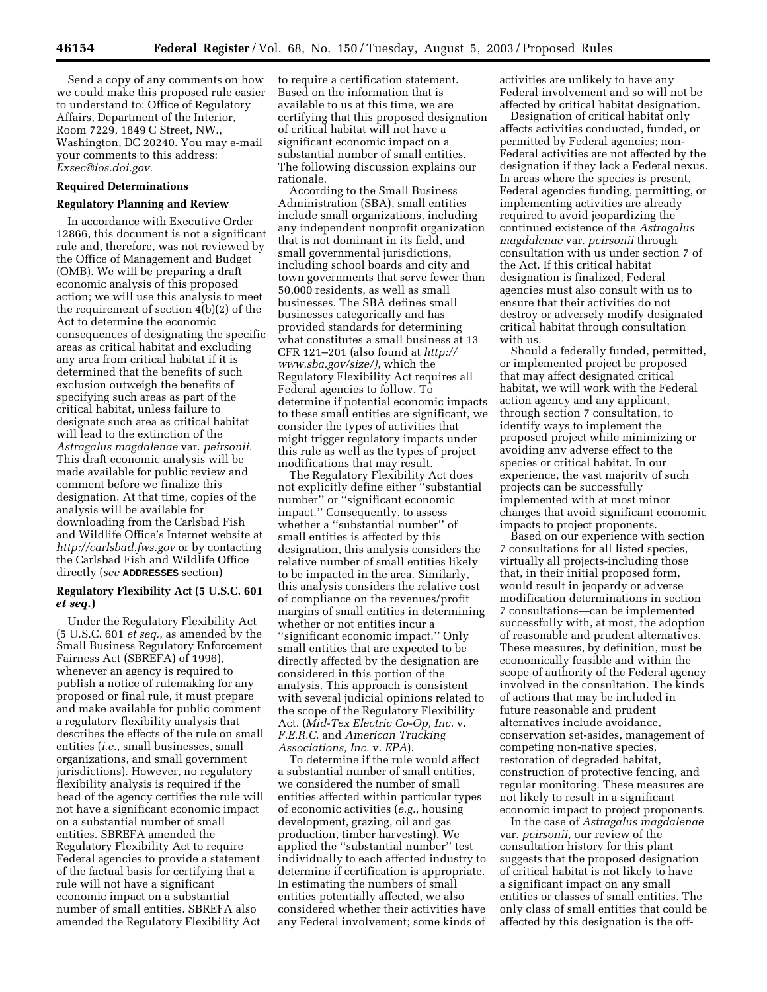Send a copy of any comments on how we could make this proposed rule easier to understand to: Office of Regulatory Affairs, Department of the Interior, Room 7229, 1849 C Street, NW., Washington, DC 20240. You may e-mail your comments to this address: *[Exsec@ios.doi.gov.](mailto:Exsec@ios.doi.gov)*

#### **Required Determinations**

#### **Regulatory Planning and Review**

In accordance with Executive Order 12866, this document is not a significant rule and, therefore, was not reviewed by the Office of Management and Budget (OMB). We will be preparing a draft economic analysis of this proposed action; we will use this analysis to meet the requirement of section 4(b)(2) of the Act to determine the economic consequences of designating the specific areas as critical habitat and excluding any area from critical habitat if it is determined that the benefits of such exclusion outweigh the benefits of specifying such areas as part of the critical habitat, unless failure to designate such area as critical habitat will lead to the extinction of the *Astragalus magdalenae* var. *peirsonii.* This draft economic analysis will be made available for public review and comment before we finalize this designation. At that time, copies of the analysis will be available for downloading from the Carlsbad Fish and Wildlife Office's Internet website at *<http://carlsbad.fws.gov>*or by contacting the Carlsbad Fish and Wildlife Office directly (*see* **ADDRESSES** section)

## **Regulatory Flexibility Act (5 U.S.C. 601**  *et seq.***)**

Under the Regulatory Flexibility Act (5 U.S.C. 601 *et seq.*, as amended by the Small Business Regulatory Enforcement Fairness Act (SBREFA) of 1996), whenever an agency is required to publish a notice of rulemaking for any proposed or final rule, it must prepare and make available for public comment a regulatory flexibility analysis that describes the effects of the rule on small entities (*i.e.*, small businesses, small organizations, and small government jurisdictions). However, no regulatory flexibility analysis is required if the head of the agency certifies the rule will not have a significant economic impact on a substantial number of small entities. SBREFA amended the Regulatory Flexibility Act to require Federal agencies to provide a statement of the factual basis for certifying that a rule will not have a significant economic impact on a substantial number of small entities. SBREFA also amended the Regulatory Flexibility Act

to require a certification statement. Based on the information that is available to us at this time, we are certifying that this proposed designation of critical habitat will not have a significant economic impact on a substantial number of small entities. The following discussion explains our rationale.

According to the Small Business Administration (SBA), small entities include small organizations, including any independent nonprofit organization that is not dominant in its field, and small governmental jurisdictions, including school boards and city and town governments that serve fewer than 50,000 residents, as well as small businesses. The SBA defines small businesses categorically and has provided standards for determining what constitutes a small business at 13 [CFR 121–201 \(also found at](http://www.sba.gov/size/) *http:// www.sba.gov/size/)*, which the Regulatory Flexibility Act requires all Federal agencies to follow. To determine if potential economic impacts to these small entities are significant, we consider the types of activities that might trigger regulatory impacts under this rule as well as the types of project modifications that may result.

The Regulatory Flexibility Act does not explicitly define either ''substantial number'' or ''significant economic impact.'' Consequently, to assess whether a ''substantial number'' of small entities is affected by this designation, this analysis considers the relative number of small entities likely to be impacted in the area. Similarly, this analysis considers the relative cost of compliance on the revenues/profit margins of small entities in determining whether or not entities incur a ''significant economic impact.'' Only small entities that are expected to be directly affected by the designation are considered in this portion of the analysis. This approach is consistent with several judicial opinions related to the scope of the Regulatory Flexibility Act. (*Mid-Tex Electric Co-Op, Inc.* v. *F.E.R.C.* and *American Trucking Associations, Inc.* v. *EPA*).

To determine if the rule would affect a substantial number of small entities, we considered the number of small entities affected within particular types of economic activities (*e.g.*, housing development, grazing, oil and gas production, timber harvesting). We applied the ''substantial number'' test individually to each affected industry to determine if certification is appropriate. In estimating the numbers of small entities potentially affected, we also considered whether their activities have any Federal involvement; some kinds of

activities are unlikely to have any Federal involvement and so will not be affected by critical habitat designation.

Designation of critical habitat only affects activities conducted, funded, or permitted by Federal agencies; non-Federal activities are not affected by the designation if they lack a Federal nexus. In areas where the species is present, Federal agencies funding, permitting, or implementing activities are already required to avoid jeopardizing the continued existence of the *Astragalus magdalenae* var. *peirsonii* through consultation with us under section 7 of the Act. If this critical habitat designation is finalized, Federal agencies must also consult with us to ensure that their activities do not destroy or adversely modify designated critical habitat through consultation with us.

Should a federally funded, permitted, or implemented project be proposed that may affect designated critical habitat, we will work with the Federal action agency and any applicant, through section 7 consultation, to identify ways to implement the proposed project while minimizing or avoiding any adverse effect to the species or critical habitat. In our experience, the vast majority of such projects can be successfully implemented with at most minor changes that avoid significant economic impacts to project proponents.

Based on our experience with section 7 consultations for all listed species, virtually all projects-including those that, in their initial proposed form, would result in jeopardy or adverse modification determinations in section 7 consultations—can be implemented successfully with, at most, the adoption of reasonable and prudent alternatives. These measures, by definition, must be economically feasible and within the scope of authority of the Federal agency involved in the consultation. The kinds of actions that may be included in future reasonable and prudent alternatives include avoidance, conservation set-asides, management of competing non-native species, restoration of degraded habitat, construction of protective fencing, and regular monitoring. These measures are not likely to result in a significant economic impact to project proponents.

In the case of *Astragalus magdalenae* var. *peirsonii,* our review of the consultation history for this plant suggests that the proposed designation of critical habitat is not likely to have a significant impact on any small entities or classes of small entities. The only class of small entities that could be affected by this designation is the off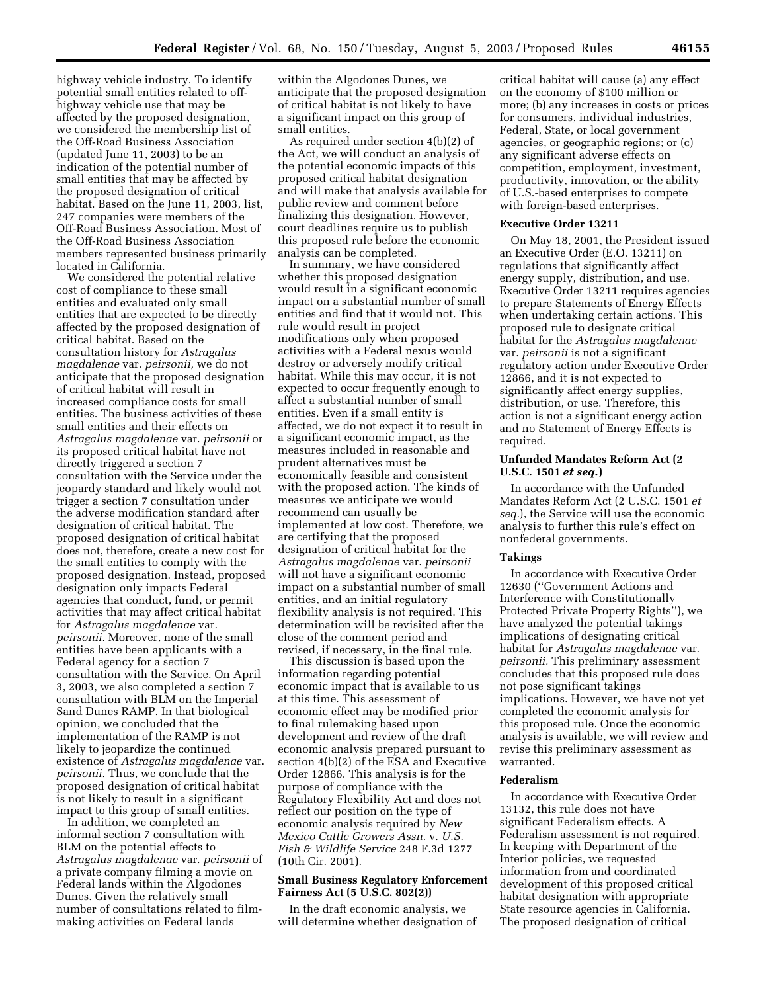highway vehicle industry. To identify potential small entities related to offhighway vehicle use that may be affected by the proposed designation, we considered the membership list of the Off-Road Business Association (updated June 11, 2003) to be an indication of the potential number of small entities that may be affected by the proposed designation of critical habitat. Based on the June 11, 2003, list, 247 companies were members of the Off-Road Business Association. Most of the Off-Road Business Association members represented business primarily located in California.

We considered the potential relative cost of compliance to these small entities and evaluated only small entities that are expected to be directly affected by the proposed designation of critical habitat. Based on the consultation history for *Astragalus magdalenae* var. *peirsonii,* we do not anticipate that the proposed designation of critical habitat will result in increased compliance costs for small entities. The business activities of these small entities and their effects on *Astragalus magdalenae* var. *peirsonii* or its proposed critical habitat have not directly triggered a section 7 consultation with the Service under the jeopardy standard and likely would not trigger a section 7 consultation under the adverse modification standard after designation of critical habitat. The proposed designation of critical habitat does not, therefore, create a new cost for the small entities to comply with the proposed designation. Instead, proposed designation only impacts Federal agencies that conduct, fund, or permit activities that may affect critical habitat for *Astragalus magdalenae* var. *peirsonii.* Moreover, none of the small entities have been applicants with a Federal agency for a section 7 consultation with the Service. On April 3, 2003, we also completed a section 7 consultation with BLM on the Imperial Sand Dunes RAMP. In that biological opinion, we concluded that the implementation of the RAMP is not likely to jeopardize the continued existence of *Astragalus magdalenae* var. *peirsonii.* Thus, we conclude that the proposed designation of critical habitat is not likely to result in a significant impact to this group of small entities.

In addition, we completed an informal section 7 consultation with BLM on the potential effects to *Astragalus magdalenae* var. *peirsonii* of a private company filming a movie on Federal lands within the Algodones Dunes. Given the relatively small number of consultations related to filmmaking activities on Federal lands

within the Algodones Dunes, we anticipate that the proposed designation of critical habitat is not likely to have a significant impact on this group of small entities.

As required under section 4(b)(2) of the Act, we will conduct an analysis of the potential economic impacts of this proposed critical habitat designation and will make that analysis available for public review and comment before finalizing this designation. However, court deadlines require us to publish this proposed rule before the economic analysis can be completed.

In summary, we have considered whether this proposed designation would result in a significant economic impact on a substantial number of small entities and find that it would not. This rule would result in project modifications only when proposed activities with a Federal nexus would destroy or adversely modify critical habitat. While this may occur, it is not expected to occur frequently enough to affect a substantial number of small entities. Even if a small entity is affected, we do not expect it to result in a significant economic impact, as the measures included in reasonable and prudent alternatives must be economically feasible and consistent with the proposed action. The kinds of measures we anticipate we would recommend can usually be implemented at low cost. Therefore, we are certifying that the proposed designation of critical habitat for the *Astragalus magdalenae* var. *peirsonii* will not have a significant economic impact on a substantial number of small entities, and an initial regulatory flexibility analysis is not required. This determination will be revisited after the close of the comment period and revised, if necessary, in the final rule.

This discussion is based upon the information regarding potential economic impact that is available to us at this time. This assessment of economic effect may be modified prior to final rulemaking based upon development and review of the draft economic analysis prepared pursuant to section 4(b)(2) of the ESA and Executive Order 12866. This analysis is for the purpose of compliance with the Regulatory Flexibility Act and does not reflect our position on the type of economic analysis required by *New Mexico Cattle Growers Assn.* v. *U.S. Fish & Wildlife Service* 248 F.3d 1277 (10th Cir. 2001).

## **Small Business Regulatory Enforcement Fairness Act (5 U.S.C. 802(2))**

In the draft economic analysis, we will determine whether designation of

critical habitat will cause (a) any effect on the economy of \$100 million or more; (b) any increases in costs or prices for consumers, individual industries, Federal, State, or local government agencies, or geographic regions; or (c) any significant adverse effects on competition, employment, investment, productivity, innovation, or the ability of U.S.-based enterprises to compete with foreign-based enterprises.

#### **Executive Order 13211**

On May 18, 2001, the President issued an Executive Order (E.O. 13211) on regulations that significantly affect energy supply, distribution, and use. Executive Order 13211 requires agencies to prepare Statements of Energy Effects when undertaking certain actions. This proposed rule to designate critical habitat for the *Astragalus magdalenae* var. *peirsonii* is not a significant regulatory action under Executive Order 12866, and it is not expected to significantly affect energy supplies, distribution, or use. Therefore, this action is not a significant energy action and no Statement of Energy Effects is required.

#### **Unfunded Mandates Reform Act (2 U.S.C. 1501** *et seq.***)**

In accordance with the Unfunded Mandates Reform Act (2 U.S.C. 1501 *et seq.*), the Service will use the economic analysis to further this rule's effect on nonfederal governments.

#### **Takings**

In accordance with Executive Order 12630 (''Government Actions and Interference with Constitutionally Protected Private Property Rights''), we have analyzed the potential takings implications of designating critical habitat for *Astragalus magdalenae* var. *peirsonii.* This preliminary assessment concludes that this proposed rule does not pose significant takings implications. However, we have not yet completed the economic analysis for this proposed rule. Once the economic analysis is available, we will review and revise this preliminary assessment as warranted.

#### **Federalism**

In accordance with Executive Order 13132, this rule does not have significant Federalism effects. A Federalism assessment is not required. In keeping with Department of the Interior policies, we requested information from and coordinated development of this proposed critical habitat designation with appropriate State resource agencies in California. The proposed designation of critical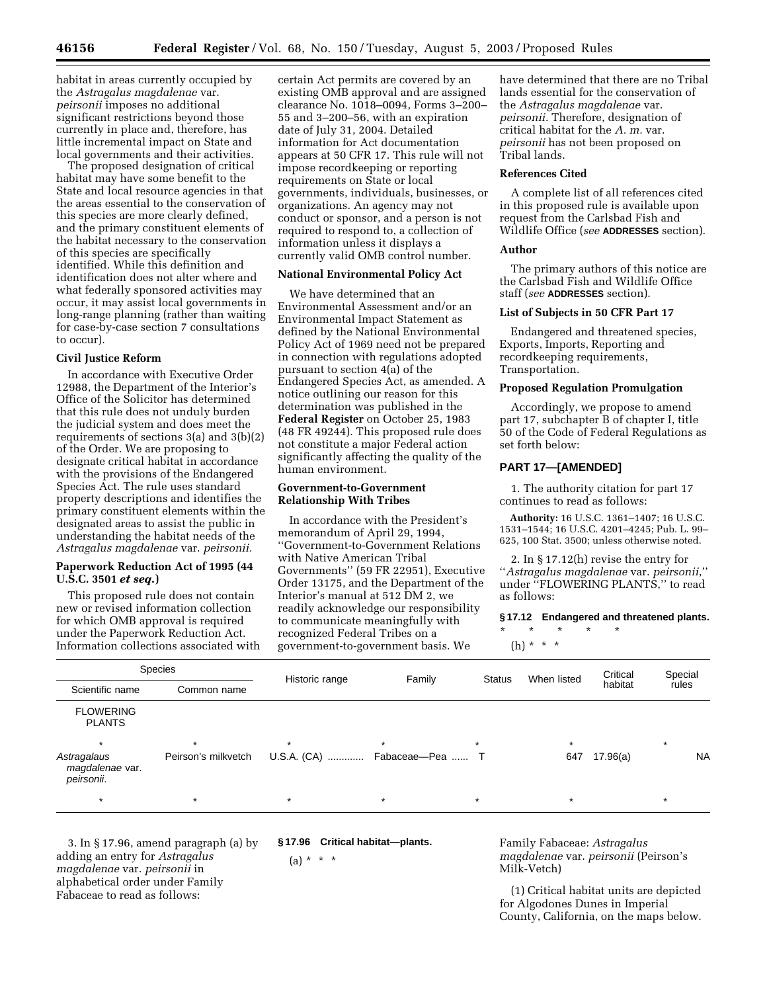habitat in areas currently occupied by the *Astragalus magdalenae* var. *peirsonii* imposes no additional significant restrictions beyond those currently in place and, therefore, has little incremental impact on State and

local governments and their activities. The proposed designation of critical habitat may have some benefit to the State and local resource agencies in that the areas essential to the conservation of this species are more clearly defined, and the primary constituent elements of the habitat necessary to the conservation of this species are specifically identified. While this definition and identification does not alter where and what federally sponsored activities may occur, it may assist local governments in long-range planning (rather than waiting for case-by-case section 7 consultations to occur).

## **Civil Justice Reform**

In accordance with Executive Order 12988, the Department of the Interior's Office of the Solicitor has determined that this rule does not unduly burden the judicial system and does meet the requirements of sections 3(a) and 3(b)(2) of the Order. We are proposing to designate critical habitat in accordance with the provisions of the Endangered Species Act. The rule uses standard property descriptions and identifies the primary constituent elements within the designated areas to assist the public in understanding the habitat needs of the *Astragalus magdalenae* var. *peirsonii.*

## **Paperwork Reduction Act of 1995 (44 U.S.C. 3501** *et seq.***)**

This proposed rule does not contain new or revised information collection for which OMB approval is required under the Paperwork Reduction Act. Information collections associated with

certain Act permits are covered by an existing OMB approval and are assigned clearance No. 1018–0094, Forms 3–200– 55 and 3–200–56, with an expiration date of July 31, 2004. Detailed information for Act documentation appears at 50 CFR 17. This rule will not impose recordkeeping or reporting requirements on State or local governments, individuals, businesses, or organizations. An agency may not conduct or sponsor, and a person is not required to respond to, a collection of information unless it displays a currently valid OMB control number.

# **National Environmental Policy Act**

We have determined that an Environmental Assessment and/or an Environmental Impact Statement as defined by the National Environmental Policy Act of 1969 need not be prepared in connection with regulations adopted pursuant to section 4(a) of the Endangered Species Act, as amended. A notice outlining our reason for this determination was published in the **Federal Register** on October 25, 1983 (48 FR 49244). This proposed rule does not constitute a major Federal action significantly affecting the quality of the human environment.

## **Government-to-Government Relationship With Tribes**

In accordance with the President's memorandum of April 29, 1994, ''Government-to-Government Relations with Native American Tribal Governments'' (59 FR 22951), Executive Order 13175, and the Department of the Interior's manual at 512 DM 2, we readily acknowledge our responsibility to communicate meaningfully with recognized Federal Tribes on a government-to-government basis. We

have determined that there are no Tribal lands essential for the conservation of the *Astragalus magdalenae* var. *peirsonii.* Therefore, designation of critical habitat for the *A. m.* var. *peirsonii* has not been proposed on Tribal lands.

#### **References Cited**

A complete list of all references cited in this proposed rule is available upon request from the Carlsbad Fish and Wildlife Office (*see* **ADDRESSES** section).

#### **Author**

The primary authors of this notice are the Carlsbad Fish and Wildlife Office staff (*see* **ADDRESSES** section).

#### **List of Subjects in 50 CFR Part 17**

Endangered and threatened species, Exports, Imports, Reporting and recordkeeping requirements, Transportation.

#### **Proposed Regulation Promulgation**

Accordingly, we propose to amend part 17, subchapter B of chapter I, title 50 of the Code of Federal Regulations as set forth below:

## **PART 17—[AMENDED]**

1. The authority citation for part 17 continues to read as follows:

**Authority:** 16 U.S.C. 1361–1407; 16 U.S.C. 1531–1544; 16 U.S.C. 4201–4245; Pub. L. 99– 625, 100 Stat. 3500; unless otherwise noted.

2. In § 17.12(h) revise the entry for ''*Astragalus magdalenae* var. *peirsonii*,'' under ''FLOWERING PLANTS,'' to read as follows:

**§ 17.12 Endangered and threatened plants.**

\* \* \* \* \*  $(h) * * * *$ 

|         | Historic range                     | Family  | <b>Status</b> | When listed                  | Critical | Special |           |
|---------|------------------------------------|---------|---------------|------------------------------|----------|---------|-----------|
|         |                                    |         |               |                              | habitat  |         |           |
|         |                                    |         |               |                              |          |         |           |
| $\star$ | $\star$                            | $\star$ | $\star$       | $\star$                      |          | $\star$ |           |
|         |                                    |         |               | 647                          | 17.96(a) |         | <b>NA</b> |
| $\star$ | $\star$                            | $\star$ | $\star$       | $\star$                      |          | $\star$ |           |
|         | Common name<br>Peirson's milkvetch |         |               | U.S.A. (CA)  Fabaceae-Pea  T |          |         | rules     |

3. In § 17.96, amend paragraph (a) by adding an entry for *Astragalus magdalenae* var. *peirsonii* in alphabetical order under Family Fabaceae to read as follows:

**§ 17.96 Critical habitat—plants.** 

 $(a) * * * *$ 

Family Fabaceae: *Astragalus magdalenae* var. *peirsonii* (Peirson's Milk-Vetch)

(1) Critical habitat units are depicted for Algodones Dunes in Imperial County, California, on the maps below.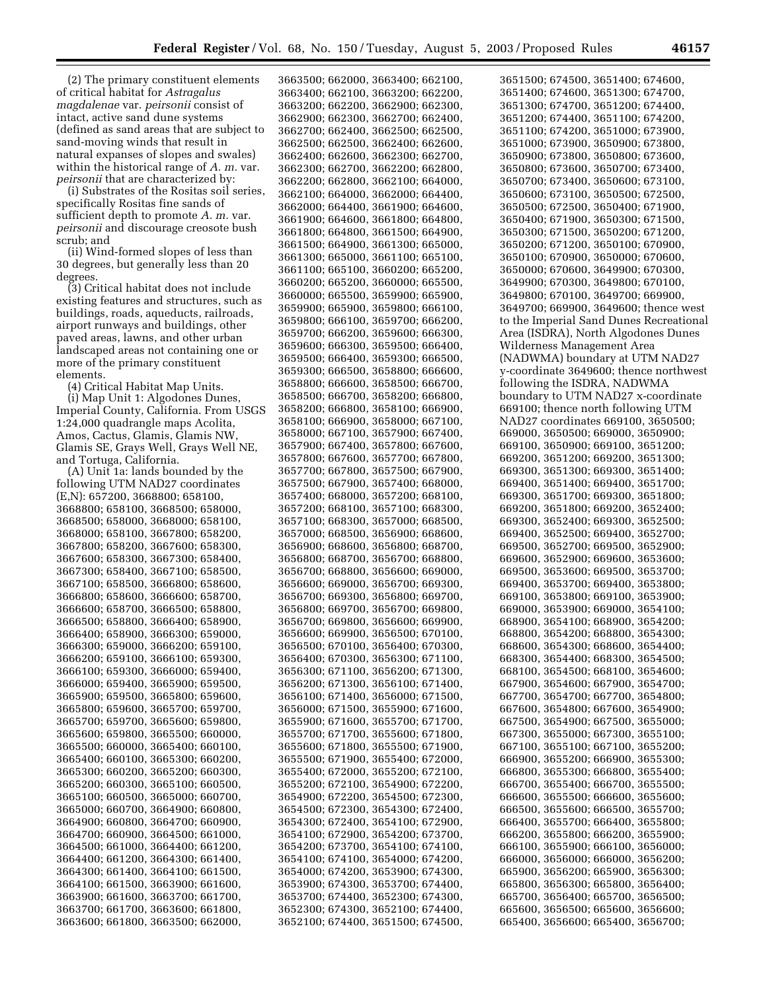(2) The primary constituent elements of critical habitat for *Astragalus magdalenae* var. *peirsonii* consist of intact, active sand dune systems (defined as sand areas that are subject to sand-moving winds that result in natural expanses of slopes and swales) within the historical range of *A. m.* var. *peirsonii* that are characterized by:

(i) Substrates of the Rositas soil series, specifically Rositas fine sands of sufficient depth to promote *A. m.* var. *peirsonii* and discourage creosote bush scrub; and

(ii) Wind-formed slopes of less than 30 degrees, but generally less than 20 degrees.

(3) Critical habitat does not include existing features and structures, such as buildings, roads, aqueducts, railroads, airport runways and buildings, other paved areas, lawns, and other urban landscaped areas not containing one or more of the primary constituent elements.

(4) Critical Habitat Map Units.

(i) Map Unit 1: Algodones Dunes, Imperial County, California. From USGS 1:24,000 quadrangle maps Acolita, Amos, Cactus, Glamis, Glamis NW, Glamis SE, Grays Well, Grays Well NE, and Tortuga, California.

(A) Unit 1a: lands bounded by the following UTM NAD27 coordinates (E,N): 657200, 3668800; 658100, 3668800; 658100, 3668500; 658000, 3668500; 658000, 3668000; 658100, 3668000; 658100, 3667800; 658200, 3667800; 658200, 3667600; 658300, 3667600; 658300, 3667300; 658400, 3667300; 658400, 3667100; 658500, 3667100; 658500, 3666800; 658600, 3666800; 658600, 3666600; 658700, 3666600; 658700, 3666500; 658800, 3666500; 658800, 3666400; 658900, 3666400; 658900, 3666300; 659000, 3666300; 659000, 3666200; 659100, 3666200; 659100, 3666100; 659300, 3666100; 659300, 3666000; 659400, 3666000; 659400, 3665900; 659500, 3665900; 659500, 3665800; 659600, 3665800; 659600, 3665700; 659700, 3665700; 659700, 3665600; 659800, 3665600; 659800, 3665500; 660000, 3665500; 660000, 3665400; 660100, 3665400; 660100, 3665300; 660200, 3665300; 660200, 3665200; 660300, 3665200; 660300, 3665100; 660500, 3665100; 660500, 3665000; 660700, 3665000; 660700, 3664900; 660800, 3664900; 660800, 3664700; 660900, 3664700; 660900, 3664500; 661000, 3664500; 661000, 3664400; 661200, 3664400; 661200, 3664300; 661400, 3664300; 661400, 3664100; 661500, 3664100; 661500, 3663900; 661600, 3663900; 661600, 3663700; 661700, 3663700; 661700, 3663600; 661800, 3663600; 661800, 3663500; 662000,

3663500; 662000, 3663400; 662100, 3663400; 662100, 3663200; 662200, 3663200; 662200, 3662900; 662300, 3662900; 662300, 3662700; 662400, 3662700; 662400, 3662500; 662500, 3662500; 662500, 3662400; 662600, 3662400; 662600, 3662300; 662700, 3662300; 662700, 3662200; 662800, 3662200; 662800, 3662100; 664000, 3662100; 664000, 3662000; 664400, 3662000; 664400, 3661900; 664600, 3661900; 664600, 3661800; 664800, 3661800; 664800, 3661500; 664900, 3661500; 664900, 3661300; 665000, 3661300; 665000, 3661100; 665100, 3661100; 665100, 3660200; 665200, 3660200; 665200, 3660000; 665500, 3660000; 665500, 3659900; 665900, 3659900; 665900, 3659800; 666100, 3659800; 666100, 3659700; 666200, 3659700; 666200, 3659600; 666300, 3659600; 666300, 3659500; 666400, 3659500; 666400, 3659300; 666500, 3659300; 666500, 3658800; 666600, 3658800; 666600, 3658500; 666700, 3658500; 666700, 3658200; 666800, 3658200; 666800, 3658100; 666900, 3658100; 666900, 3658000; 667100, 3658000; 667100, 3657900; 667400, 3657900; 667400, 3657800; 667600, 3657800; 667600, 3657700; 667800, 3657700; 667800, 3657500; 667900, 3657500; 667900, 3657400; 668000, 3657400; 668000, 3657200; 668100, 3657200; 668100, 3657100; 668300, 3657100; 668300, 3657000; 668500, 3657000; 668500, 3656900; 668600, 3656900; 668600, 3656800; 668700, 3656800; 668700, 3656700; 668800, 3656700; 668800, 3656600; 669000, 3656600; 669000, 3656700; 669300, 3656700; 669300, 3656800; 669700, 3656800; 669700, 3656700; 669800, 3656700; 669800, 3656600; 669900, 3656600; 669900, 3656500; 670100, 3656500; 670100, 3656400; 670300, 3656400; 670300, 3656300; 671100, 3656300; 671100, 3656200; 671300, 3656200; 671300, 3656100; 671400, 3656100; 671400, 3656000; 671500, 3656000; 671500, 3655900; 671600, 3655900; 671600, 3655700; 671700, 3655700; 671700, 3655600; 671800, 3655600; 671800, 3655500; 671900, 3655500; 671900, 3655400; 672000, 3655400; 672000, 3655200; 672100, 3655200; 672100, 3654900; 672200, 3654900; 672200, 3654500; 672300, 3654500; 672300, 3654300; 672400, 3654300; 672400, 3654100; 672900, 3654100; 672900, 3654200; 673700, 3654200; 673700, 3654100; 674100, 3654100; 674100, 3654000; 674200, 3654000; 674200, 3653900; 674300, 3653900; 674300, 3653700; 674400, 3653700; 674400, 3652300; 674300, 3652300; 674300, 3652100; 674400, 3652100; 674400, 3651500; 674500,

3651500; 674500, 3651400; 674600, 3651400; 674600, 3651300; 674700, 3651300; 674700, 3651200; 674400, 3651200; 674400, 3651100; 674200, 3651100; 674200, 3651000; 673900, 3651000; 673900, 3650900; 673800, 3650900; 673800, 3650800; 673600, 3650800; 673600, 3650700; 673400, 3650700; 673400, 3650600; 673100, 3650600; 673100, 3650500; 672500, 3650500; 672500, 3650400; 671900, 3650400; 671900, 3650300; 671500, 3650300; 671500, 3650200; 671200, 3650200; 671200, 3650100; 670900, 3650100; 670900, 3650000; 670600, 3650000; 670600, 3649900; 670300, 3649900; 670300, 3649800; 670100, 3649800; 670100, 3649700; 669900, 3649700; 669900, 3649600; thence west to the Imperial Sand Dunes Recreational Area (ISDRA), North Algodones Dunes Wilderness Management Area (NADWMA) boundary at UTM NAD27 y-coordinate 3649600; thence northwest following the ISDRA, NADWMA boundary to UTM NAD27 x-coordinate 669100; thence north following UTM NAD27 coordinates 669100, 3650500; 669000, 3650500; 669000, 3650900; 669100, 3650900; 669100, 3651200; 669200, 3651200; 669200, 3651300; 669300, 3651300; 669300, 3651400; 669400, 3651400; 669400, 3651700; 669300, 3651700; 669300, 3651800; 669200, 3651800; 669200, 3652400; 669300, 3652400; 669300, 3652500; 669400, 3652500; 669400, 3652700; 669500, 3652700; 669500, 3652900; 669600, 3652900; 669600, 3653600; 669500, 3653600; 669500, 3653700; 669400, 3653700; 669400, 3653800; 669100, 3653800; 669100, 3653900; 669000, 3653900; 669000, 3654100; 668900, 3654100; 668900, 3654200; 668800, 3654200; 668800, 3654300; 668600, 3654300; 668600, 3654400; 668300, 3654400; 668300, 3654500; 668100, 3654500; 668100, 3654600; 667900, 3654600; 667900, 3654700; 667700, 3654700; 667700, 3654800; 667600, 3654800; 667600, 3654900; 667500, 3654900; 667500, 3655000; 667300, 3655000; 667300, 3655100; 667100, 3655100; 667100, 3655200; 666900, 3655200; 666900, 3655300; 666800, 3655300; 666800, 3655400; 666700, 3655400; 666700, 3655500; 666600, 3655500; 666600, 3655600; 666500, 3655600; 666500, 3655700; 666400, 3655700; 666400, 3655800; 666200, 3655800; 666200, 3655900; 666100, 3655900; 666100, 3656000; 666000, 3656000; 666000, 3656200; 665900, 3656200; 665900, 3656300; 665800, 3656300; 665800, 3656400; 665700, 3656400; 665700, 3656500; 665600, 3656500; 665600, 3656600; 665400, 3656600; 665400, 3656700;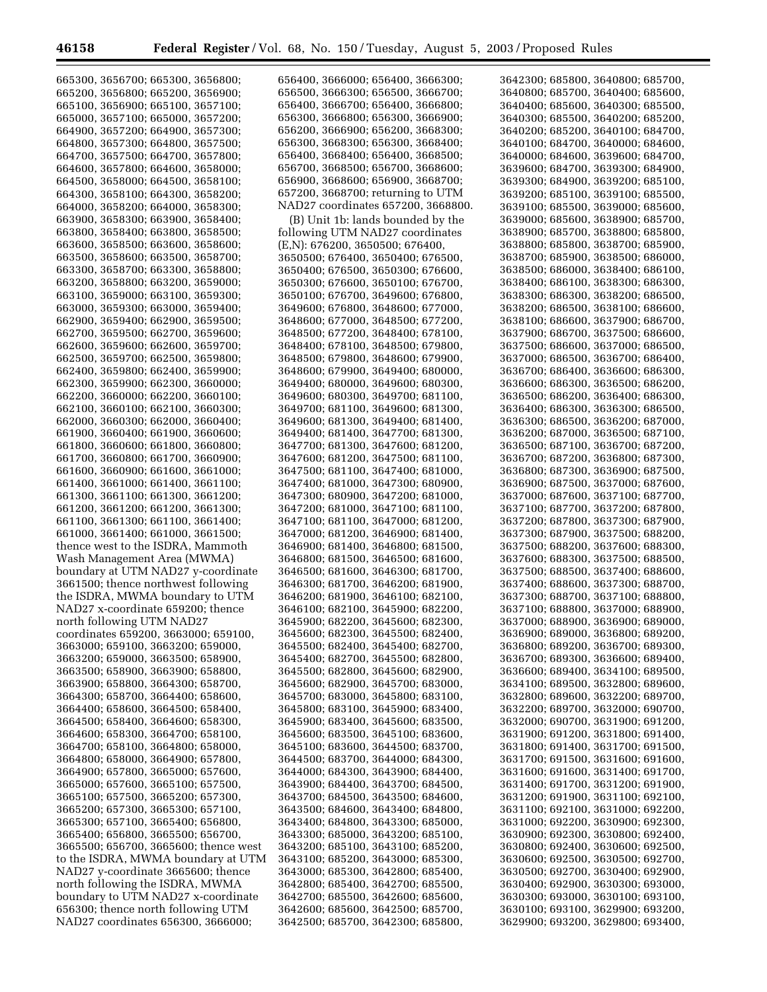۳

| 665300, 3656700; 665300, 3656800;                                        | 656400, 3666000; 656400, 3666300;                                      | 3642300; 685800, 3640800; 685700,                                      |
|--------------------------------------------------------------------------|------------------------------------------------------------------------|------------------------------------------------------------------------|
| 665200, 3656800; 665200, 3656900;                                        | 656500, 3666300; 656500, 3666700;                                      | 3640800; 685700, 3640400; 685600,                                      |
| 665100, 3656900; 665100, 3657100;                                        | 656400, 3666700; 656400, 3666800;                                      | 3640400; 685600, 3640300; 685500,                                      |
|                                                                          |                                                                        |                                                                        |
| 665000, 3657100; 665000, 3657200;                                        | 656300, 3666800; 656300, 3666900;                                      | 3640300; 685500, 3640200; 685200,                                      |
| 664900, 3657200; 664900, 3657300;                                        | 656200, 3666900; 656200, 3668300;                                      | 3640200; 685200, 3640100; 684700,                                      |
|                                                                          | 656300, 3668300; 656300, 3668400;                                      | 3640100; 684700, 3640000; 684600,                                      |
| 664800, 3657300; 664800, 3657500;                                        |                                                                        |                                                                        |
| 664700, 3657500; 664700, 3657800;                                        | 656400, 3668400; 656400, 3668500;                                      | 3640000; 684600, 3639600; 684700,                                      |
| 664600, 3657800; 664600, 3658000;                                        | 656700, 3668500; 656700, 3668600;                                      | 3639600; 684700, 3639300; 684900,                                      |
|                                                                          |                                                                        |                                                                        |
| 664500, 3658000; 664500, 3658100;                                        | 656900, 3668600; 656900, 3668700;                                      | 3639300; 684900, 3639200; 685100,                                      |
| 664300, 3658100; 664300, 3658200;                                        | 657200, 3668700; returning to UTM                                      | 3639200; 685100, 3639100; 685500,                                      |
| 664000, 3658200; 664000, 3658300;                                        | NAD <sub>27</sub> coordinates 657200, 3668800.                         | 3639100; 685500, 3639000; 685600,                                      |
|                                                                          |                                                                        |                                                                        |
| 663900, 3658300; 663900, 3658400;                                        | (B) Unit 1b: lands bounded by the                                      | 3639000; 685600, 3638900; 685700,                                      |
| 663800, 3658400; 663800, 3658500;                                        | following UTM NAD27 coordinates                                        | 3638900; 685700, 3638800; 685800,                                      |
| 663600, 3658500; 663600, 3658600;                                        | (E,N): 676200, 3650500; 676400,                                        | 3638800; 685800, 3638700; 685900,                                      |
|                                                                          |                                                                        |                                                                        |
| 663500, 3658600; 663500, 3658700;                                        | 3650500; 676400, 3650400; 676500,                                      | 3638700; 685900, 3638500; 686000,                                      |
| 663300, 3658700; 663300, 3658800;                                        | 3650400; 676500, 3650300; 676600,                                      | 3638500; 686000, 3638400; 686100,                                      |
| 663200, 3658800; 663200, 3659000;                                        | 3650300; 676600, 3650100; 676700,                                      | 3638400; 686100, 3638300; 686300,                                      |
|                                                                          |                                                                        |                                                                        |
| 663100, 3659000; 663100, 3659300;                                        | 3650100; 676700, 3649600; 676800,                                      | 3638300; 686300, 3638200; 686500,                                      |
| 663000, 3659300; 663000, 3659400;                                        | 3649600; 676800, 3648600; 677000,                                      | 3638200; 686500, 3638100; 686600,                                      |
| 662900, 3659400; 662900, 3659500;                                        |                                                                        | 3638100; 686600, 3637900; 686700,                                      |
|                                                                          | 3648600; 677000, 3648500; 677200,                                      |                                                                        |
| 662700, 3659500; 662700, 3659600;                                        | 3648500; 677200, 3648400; 678100,                                      | 3637900; 686700, 3637500; 686600,                                      |
| 662600, 3659600; 662600, 3659700;                                        | 3648400; 678100, 3648500; 679800,                                      | 3637500; 686600, 3637000; 686500,                                      |
|                                                                          |                                                                        |                                                                        |
| 662500, 3659700; 662500, 3659800;                                        | 3648500; 679800, 3648600; 679900,                                      | 3637000; 686500, 3636700; 686400,                                      |
| 662400, 3659800; 662400, 3659900;                                        | 3648600; 679900, 3649400; 680000,                                      | 3636700; 686400, 3636600; 686300,                                      |
| 662300, 3659900; 662300, 3660000;                                        | 3649400; 680000, 3649600; 680300,                                      | 3636600; 686300, 3636500; 686200,                                      |
|                                                                          |                                                                        |                                                                        |
| 662200, 3660000; 662200, 3660100;                                        | 3649600; 680300, 3649700; 681100,                                      | 3636500; 686200, 3636400; 686300,                                      |
| 662100, 3660100; 662100, 3660300;                                        | 3649700; 681100, 3649600; 681300,                                      | 3636400; 686300, 3636300; 686500,                                      |
| 662000, 3660300; 662000, 3660400;                                        | 3649600; 681300, 3649400; 681400,                                      | 3636300; 686500, 3636200; 687000,                                      |
|                                                                          |                                                                        | 3636200; 687000, 3636500; 687100,                                      |
| 661900, 3660400; 661900, 3660600;                                        | 3649400; 681400, 3647700; 681300,                                      |                                                                        |
| 661800, 3660600; 661800, 3660800;                                        | 3647700; 681300, 3647600; 681200,                                      | 3636500; 687100, 3636700; 687200,                                      |
| 661700, 3660800; 661700, 3660900;                                        | 3647600; 681200, 3647500; 681100,                                      | 3636700; 687200, 3636800; 687300,                                      |
| 661600, 3660900; 661600, 3661000;                                        | 3647500; 681100, 3647400; 681000,                                      | 3636800; 687300, 3636900; 687500,                                      |
|                                                                          |                                                                        |                                                                        |
| 661400, 3661000; 661400, 3661100;                                        | 3647400; 681000, 3647300; 680900,                                      | 3636900; 687500, 3637000; 687600,                                      |
| 661300, 3661100; 661300, 3661200;                                        | 3647300; 680900, 3647200; 681000,                                      | 3637000; 687600, 3637100; 687700,                                      |
| 661200, 3661200; 661200, 3661300;                                        | 3647200; 681000, 3647100; 681100,                                      | 3637100; 687700, 3637200; 687800,                                      |
|                                                                          |                                                                        |                                                                        |
| 661100, 3661300; 661100, 3661400;                                        | 3647100; 681100, 3647000; 681200,                                      | 3637200; 687800, 3637300; 687900,                                      |
| 661000, 3661400; 661000, 3661500;                                        | 3647000; 681200, 3646900; 681400,                                      | 3637300; 687900, 3637500; 688200,                                      |
| thence west to the ISDRA, Mammoth                                        | 3646900; 681400, 3646800; 681500,                                      | 3637500; 688200, 3637600; 688300,                                      |
|                                                                          |                                                                        |                                                                        |
| Wash Management Area (MWMA)                                              | 3646800; 681500, 3646500; 681600,                                      | 3637600; 688300, 3637500; 688500,                                      |
| boundary at UTM NAD27 y-coordinate                                       | 3646500; 681600, 3646300; 681700,                                      | 3637500; 688500, 3637400; 688600,                                      |
| 3661500; thence northwest following                                      | 3646300; 681700, 3646200; 681900,                                      | 3637400; 688600, 3637300; 688700,                                      |
|                                                                          |                                                                        |                                                                        |
| the ISDRA, MWMA boundary to UTM                                          | 3646200; 681900, 3646100; 682100,                                      | 3637300; 688700, 3637100; 688800,                                      |
| NAD27 x-coordinate 659200; thence                                        | 3646100; 682100, 3645900; 682200,                                      | 3637100; 688800, 3637000; 688900,                                      |
| north following UTM NAD27                                                | 3645900; 682200, 3645600; 682300,                                      | 3637000; 688900, 3636900; 689000,                                      |
|                                                                          |                                                                        |                                                                        |
| coordinates 659200, 3663000; 659100,                                     | 3645600; 682300, 3645500; 682400,                                      | 3636900; 689000, 3636800; 689200,                                      |
| 3663000; 659100, 3663200; 659000,                                        | 3645500; 682400, 3645400; 682700,                                      | 3636800; 689200, 3636700; 689300,                                      |
| 3663200; 659000, 3663500; 658900,                                        | 3645400; 682700, 3645500; 682800,                                      | 3636700; 689300, 3636600; 689400,                                      |
|                                                                          |                                                                        |                                                                        |
| 3663500; 658900, 3663900; 658800,                                        | 3645500; 682800, 3645600; 682900,                                      | 3636600; 689400, 3634100; 689500,                                      |
| 3663900; 658800, 3664300; 658700,                                        | 3645600; 682900, 3645700; 683000,                                      | 3634100; 689500, 3632800; 689600,                                      |
| 3664300; 658700, 3664400; 658600,                                        | 3645700; 683000, 3645800; 683100,                                      | 3632800; 689600, 3632200; 689700,                                      |
|                                                                          |                                                                        |                                                                        |
| 3664400; 658600, 3664500; 658400,                                        | 3645800; 683100, 3645900; 683400,                                      | 3632200; 689700, 3632000; 690700,                                      |
| 3664500; 658400, 3664600; 658300,                                        | 3645900; 683400, 3645600; 683500,                                      | 3632000; 690700, 3631900; 691200,                                      |
| 3664600; 658300, 3664700; 658100,                                        | 3645600; 683500, 3645100; 683600,                                      | 3631900; 691200, 3631800; 691400,                                      |
|                                                                          |                                                                        |                                                                        |
| 3664700; 658100, 3664800; 658000,                                        | 3645100; 683600, 3644500; 683700,                                      | 3631800; 691400, 3631700; 691500,                                      |
| 3664800; 658000, 3664900; 657800,                                        | 3644500; 683700, 3644000; 684300,                                      | 3631700; 691500, 3631600; 691600,                                      |
| 3664900; 657800, 3665000; 657600,                                        | 3644000; 684300, 3643900; 684400,                                      | 3631600; 691600, 3631400; 691700,                                      |
|                                                                          |                                                                        |                                                                        |
| 3665000; 657600, 3665100; 657500,                                        | 3643900; 684400, 3643700; 684500,                                      | 3631400; 691700, 3631200; 691900,                                      |
| 3665100; 657500, 3665200; 657300,                                        | 3643700; 684500, 3643500; 684600,                                      | 3631200; 691900, 3631100; 692100,                                      |
| 3665200; 657300, 3665300; 657100,                                        | 3643500; 684600, 3643400; 684800,                                      | 3631100; 692100, 3631000; 692200,                                      |
| 3665300; 657100, 3665400; 656800,                                        |                                                                        | 3631000; 692200, 3630900; 692300,                                      |
|                                                                          | 3643400; 684800, 3643300; 685000,                                      |                                                                        |
| 3665400; 656800, 3665500; 656700,                                        | 3643300; 685000, 3643200; 685100,                                      | 3630900; 692300, 3630800; 692400,                                      |
| 3665500; 656700, 3665600; thence west                                    | 3643200; 685100, 3643100; 685200,                                      | 3630800; 692400, 3630600; 692500,                                      |
|                                                                          |                                                                        |                                                                        |
|                                                                          |                                                                        |                                                                        |
| to the ISDRA, MWMA boundary at UTM                                       | 3643100; 685200, 3643000; 685300,                                      | 3630600; 692500, 3630500; 692700,                                      |
| NAD27 y-coordinate 3665600; thence                                       | 3643000; 685300, 3642800; 685400,                                      | 3630500; 692700, 3630400; 692900,                                      |
|                                                                          | 3642800; 685400, 3642700; 685500,                                      | 3630400; 692900, 3630300; 693000,                                      |
| north following the ISDRA, MWMA                                          |                                                                        |                                                                        |
| boundary to UTM NAD27 x-coordinate                                       | 3642700; 685500, 3642600; 685600,                                      | 3630300; 693000, 3630100; 693100,                                      |
| 656300; thence north following UTM<br>NAD27 coordinates 656300, 3666000; | 3642600; 685600, 3642500; 685700,<br>3642500; 685700, 3642300; 685800, | 3630100; 693100, 3629900; 693200,<br>3629900; 693200, 3629800; 693400, |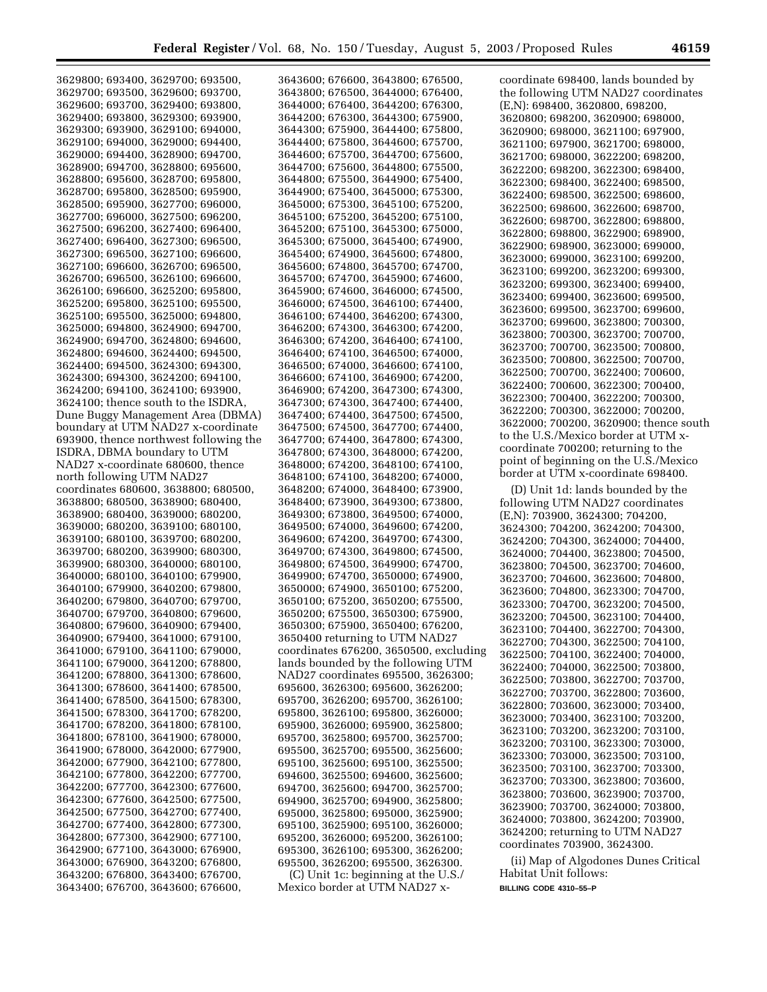| 3629800; 693400, 3629700; 693500,                                      |                                                                      |                                        |
|------------------------------------------------------------------------|----------------------------------------------------------------------|----------------------------------------|
|                                                                        | 3643600; 676600, 3643800; 676500,                                    | coordinate 698400, lands bounded by    |
| 3629700; 693500, 3629600; 693700,                                      | 3643800; 676500, 3644000; 676400,                                    | the following UTM NAD27 coordinates    |
|                                                                        |                                                                      |                                        |
| 3629600; 693700, 3629400; 693800,                                      | 3644000; 676400, 3644200; 676300,                                    | (E,N): 698400, 3620800, 698200,        |
| 3629400; 693800, 3629300; 693900,                                      | 3644200; 676300, 3644300; 675900,                                    | 3620800; 698200, 3620900; 698000,      |
| 3629300; 693900, 3629100; 694000,                                      | 3644300; 675900, 3644400; 675800,                                    | 3620900; 698000, 3621100; 697900,      |
|                                                                        |                                                                      |                                        |
| 3629100; 694000, 3629000; 694400,                                      | 3644400; 675800, 3644600; 675700,                                    | 3621100; 697900, 3621700; 698000,      |
| 3629000; 694400, 3628900; 694700,                                      | 3644600; 675700, 3644700; 675600,                                    | 3621700; 698000, 3622200; 698200,      |
| 3628900; 694700, 3628800; 695600,                                      | 3644700; 675600, 3644800; 675500,                                    |                                        |
|                                                                        |                                                                      | 3622200; 698200, 3622300; 698400,      |
| 3628800; 695600, 3628700; 695800,                                      | 3644800; 675500, 3644900; 675400,                                    | 3622300; 698400, 3622400; 698500,      |
| 3628700; 695800, 3628500; 695900,                                      | 3644900; 675400, 3645000; 675300,                                    | 3622400; 698500, 3622500; 698600,      |
| 3628500; 695900, 3627700; 696000,                                      | 3645000; 675300, 3645100; 675200,                                    |                                        |
|                                                                        |                                                                      | 3622500; 698600, 3622600; 698700,      |
| 3627700; 696000, 3627500; 696200,                                      | 3645100; 675200, 3645200; 675100,                                    | 3622600; 698700, 3622800; 698800,      |
| 3627500; 696200, 3627400; 696400,                                      | 3645200; 675100, 3645300; 675000,                                    | 3622800; 698800, 3622900; 698900,      |
| 3627400; 696400, 3627300; 696500,                                      | 3645300; 675000, 3645400; 674900,                                    |                                        |
|                                                                        |                                                                      | 3622900; 698900, 3623000; 699000,      |
| 3627300; 696500, 3627100; 696600,                                      | 3645400; 674900, 3645600; 674800,                                    | 3623000; 699000, 3623100; 699200,      |
| 3627100; 696600, 3626700; 696500,                                      | 3645600; 674800, 3645700; 674700,                                    | 3623100; 699200, 3623200; 699300,      |
| 3626700; 696500, 3626100; 696600,                                      | 3645700; 674700, 3645900; 674600,                                    |                                        |
|                                                                        |                                                                      | 3623200; 699300, 3623400; 699400,      |
| 3626100; 696600, 3625200; 695800,                                      | 3645900; 674600, 3646000; 674500,                                    | 3623400; 699400, 3623600; 699500,      |
| 3625200; 695800, 3625100; 695500,                                      | 3646000; 674500, 3646100; 674400,                                    | 3623600; 699500, 3623700; 699600,      |
| 3625100; 695500, 3625000; 694800,                                      | 3646100; 674400, 3646200; 674300,                                    |                                        |
|                                                                        |                                                                      | 3623700; 699600, 3623800; 700300,      |
| 3625000; 694800, 3624900; 694700,                                      | 3646200; 674300, 3646300; 674200,                                    | 3623800; 700300, 3623700; 700700,      |
| 3624900; 694700, 3624800; 694600,                                      | 3646300; 674200, 3646400; 674100,                                    |                                        |
| 3624800; 694600, 3624400; 694500,                                      | 3646400; 674100, 3646500; 674000,                                    | 3623700; 700700, 3623500; 700800,      |
| 3624400; 694500, 3624300; 694300,                                      | 3646500; 674000, 3646600; 674100,                                    | 3623500; 700800, 3622500; 700700,      |
|                                                                        |                                                                      | 3622500; 700700, 3622400; 700600,      |
| 3624300; 694300, 3624200; 694100,                                      | 3646600; 674100, 3646900; 674200,                                    |                                        |
| 3624200; 694100, 3624100; 693900,                                      | 3646900; 674200, 3647300; 674300,                                    | 3622400; 700600, 3622300; 700400,      |
| 3624100; thence south to the ISDRA,                                    | 3647300; 674300, 3647400; 674400,                                    | 3622300; 700400, 3622200; 700300,      |
|                                                                        |                                                                      | 3622200; 700300, 3622000; 700200,      |
| Dune Buggy Management Area (DBMA)                                      | 3647400; 674400, 3647500; 674500,                                    |                                        |
| boundary at UTM NAD27 x-coordinate                                     | 3647500; 674500, 3647700; 674400,                                    | 3622000; 700200, 3620900; thence south |
| 693900, thence northwest following the                                 | 3647700; 674400, 3647800; 674300,                                    | to the U.S./Mexico border at UTM x-    |
|                                                                        |                                                                      | coordinate 700200; returning to the    |
| ISDRA, DBMA boundary to UTM                                            | 3647800; 674300, 3648000; 674200,                                    |                                        |
| NAD27 x-coordinate 680600, thence                                      | 3648000; 674200, 3648100; 674100,                                    | point of beginning on the U.S./Mexico  |
| north following UTM NAD27                                              | 3648100; 674100, 3648200; 674000,                                    | border at UTM x-coordinate 698400.     |
| coordinates 680600, 3638800; 680500,                                   |                                                                      |                                        |
|                                                                        | 3648200; 674000, 3648400; 673900,                                    | (D) Unit 1d: lands bounded by the      |
| 3638800; 680500, 3638900; 680400,                                      | 3648400; 673900, 3649300; 673800,                                    |                                        |
|                                                                        |                                                                      | following UTM NAD27 coordinates        |
|                                                                        |                                                                      |                                        |
| 3638900; 680400, 3639000; 680200,                                      | 3649300; 673800, 3649500; 674000,                                    | (E,N): 703900, 3624300; 704200,        |
| 3639000; 680200, 3639100; 680100,                                      | 3649500; 674000, 3649600; 674200,                                    | 3624300; 704200, 3624200; 704300,      |
| 3639100; 680100, 3639700; 680200,                                      | 3649600; 674200, 3649700; 674300,                                    | 3624200; 704300, 3624000; 704400,      |
|                                                                        |                                                                      |                                        |
| 3639700; 680200, 3639900; 680300,                                      | 3649700; 674300, 3649800; 674500,                                    | 3624000; 704400, 3623800; 704500,      |
| 3639900; 680300, 3640000; 680100,                                      | 3649800; 674500, 3649900; 674700,                                    | 3623800; 704500, 3623700; 704600,      |
| 3640000; 680100, 3640100; 679900,                                      | 3649900; 674700, 3650000; 674900,                                    | 3623700; 704600, 3623600; 704800,      |
| 3640100; 679900, 3640200; 679800,                                      |                                                                      |                                        |
|                                                                        | 3650000; 674900, 3650100; 675200,                                    | 3623600; 704800, 3623300; 704700,      |
| 3640200; 679800, 3640700; 679700,                                      | 3650100; 675200, 3650200; 675500,                                    | 3623300; 704700, 3623200; 704500,      |
| 3640700; 679700, 3640800; 679600,                                      | 3650200; 675500, 3650300; 675900,                                    | 3623200; 704500, 3623100; 704400,      |
| 3640800; 679600, 3640900; 679400,                                      | 3650300; 675900, 3650400; 676200,                                    |                                        |
|                                                                        |                                                                      | 3623100; 704400, 3622700; 704300,      |
| 3640900; 679400, 3641000; 679100,                                      | 3650400 returning to UTM NAD27                                       | 3622700; 704300, 3622500; 704100,      |
| 3641000; 679100, 3641100; 679000,                                      | coordinates 676200, 3650500, excluding                               | 3622500; 704100, 3622400; 704000,      |
| 3641100; 679000, 3641200; 678800,                                      | lands bounded by the following UTM                                   |                                        |
| 3641200; 678800, 3641300; 678600,                                      | NAD27 coordinates 695500, 3626300;                                   | 3622400; 704000, 3622500; 703800,      |
|                                                                        |                                                                      | 3622500; 703800, 3622700; 703700,      |
| 3641300; 678600, 3641400; 678500,                                      | 695600, 3626300; 695600, 3626200;                                    | 3622700; 703700, 3622800; 703600,      |
| 3641400; 678500, 3641500; 678300,                                      | 695700, 3626200; 695700, 3626100;                                    |                                        |
| 3641500; 678300, 3641700; 678200,                                      | 695800, 3626100; 695800, 3626000;                                    | 3622800; 703600, 3623000; 703400,      |
|                                                                        |                                                                      | 3623000; 703400, 3623100; 703200,      |
| 3641700; 678200, 3641800; 678100,                                      | 695900, 3626000; 695900, 3625800;                                    | 3623100; 703200, 3623200; 703100,      |
| 3641800; 678100, 3641900; 678000,                                      | 695700, 3625800; 695700, 3625700;                                    |                                        |
| 3641900; 678000, 3642000; 677900,                                      | 695500, 3625700; 695500, 3625600;                                    | 3623200; 703100, 3623300; 703000,      |
| 3642000; 677900, 3642100; 677800,                                      |                                                                      | 3623300; 703000, 3623500; 703100,      |
|                                                                        | 695100, 3625600; 695100, 3625500;                                    | 3623500; 703100, 3623700; 703300,      |
| 3642100; 677800, 3642200; 677700,                                      | 694600, 3625500; 694600, 3625600;                                    | 3623700; 703300, 3623800; 703600,      |
| 3642200; 677700, 3642300; 677600,                                      | 694700, 3625600; 694700, 3625700;                                    |                                        |
| 3642300; 677600, 3642500; 677500,                                      |                                                                      | 3623800; 703600, 3623900; 703700,      |
|                                                                        | 694900, 3625700; 694900, 3625800;                                    | 3623900; 703700, 3624000; 703800,      |
| 3642500; 677500, 3642700; 677400,                                      | 695000, 3625800; 695000, 3625900;                                    | 3624000; 703800, 3624200; 703900,      |
| 3642700; 677400, 3642800; 677300,                                      | 695100, 3625900; 695100, 3626000;                                    |                                        |
| 3642800; 677300, 3642900; 677100,                                      | 695200, 3626000; 695200, 3626100;                                    | 3624200; returning to UTM NAD27        |
|                                                                        |                                                                      | coordinates 703900, 3624300.           |
| 3642900; 677100, 3643000; 676900,                                      | 695300, 3626100; 695300, 3626200;                                    |                                        |
| 3643000; 676900, 3643200; 676800,                                      | 695500, 3626200; 695500, 3626300.                                    | (ii) Map of Algodones Dunes Critical   |
| 3643200; 676800, 3643400; 676700,<br>3643400; 676700, 3643600; 676600, | (C) Unit 1c: beginning at the U.S./<br>Mexico border at UTM NAD27 x- | Habitat Unit follows:                  |